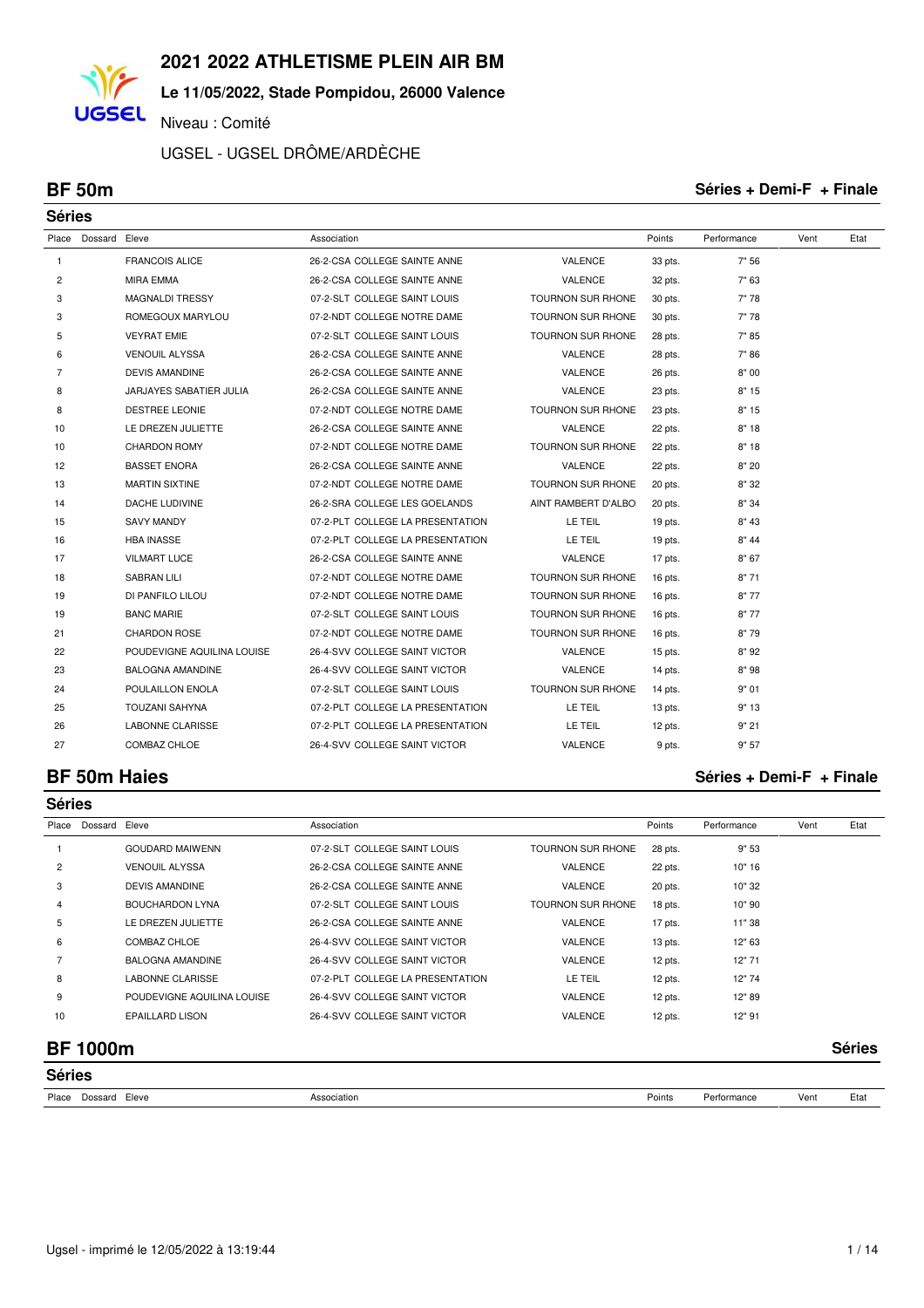**Le 11/05/2022, Stade Pompidou, 26000 Valence**

Niveau : Comité

UGSEL - UGSEL DRÔME/ARDÈCHE

**UGSEL** 

**BF 50m Séries + Demi-F + Finale**

| <b>Séries</b>  |         |                            |                                  |                          |         |             |      |      |
|----------------|---------|----------------------------|----------------------------------|--------------------------|---------|-------------|------|------|
| Place          | Dossard | Eleve                      | Association                      |                          | Points  | Performance | Vent | Etat |
| $\mathbf{1}$   |         | <b>FRANCOIS ALICE</b>      | 26-2-CSA COLLEGE SAINTE ANNE     | <b>VALENCE</b>           | 33 pts. | 7" 56       |      |      |
| 2              |         | <b>MIRA EMMA</b>           | 26-2-CSA COLLEGE SAINTE ANNE     | VALENCE                  | 32 pts. | 7" 63       |      |      |
| 3              |         | <b>MAGNALDI TRESSY</b>     | 07-2-SLT COLLEGE SAINT LOUIS     | <b>TOURNON SUR RHONE</b> | 30 pts. | 7"78        |      |      |
| 3              |         | ROMEGOUX MARYLOU           | 07-2-NDT COLLEGE NOTRE DAME      | <b>TOURNON SUR RHONE</b> | 30 pts. | 7"78        |      |      |
| 5              |         | <b>VEYRAT EMIE</b>         | 07-2-SLT COLLEGE SAINT LOUIS     | TOURNON SUR RHONE        | 28 pts. | 7"85        |      |      |
| 6              |         | <b>VENOUIL ALYSSA</b>      | 26-2-CSA COLLEGE SAINTE ANNE     | VALENCE                  | 28 pts. | 7"86        |      |      |
| $\overline{7}$ |         | <b>DEVIS AMANDINE</b>      | 26-2-CSA COLLEGE SAINTE ANNE     | <b>VALENCE</b>           | 26 pts. | 8"00        |      |      |
| 8              |         | JARJAYES SABATIER JULIA    | 26-2-CSA COLLEGE SAINTE ANNE     | VALENCE                  | 23 pts. | 8"15        |      |      |
| 8              |         | <b>DESTREE LEONIE</b>      | 07-2-NDT COLLEGE NOTRE DAME      | <b>TOURNON SUR RHONE</b> | 23 pts. | 8"15        |      |      |
| 10             |         | LE DREZEN JULIETTE         | 26-2-CSA COLLEGE SAINTE ANNE     | VALENCE                  | 22 pts. | 8"18        |      |      |
| 10             |         | <b>CHARDON ROMY</b>        | 07-2-NDT COLLEGE NOTRE DAME      | <b>TOURNON SUR RHONE</b> | 22 pts. | 8"18        |      |      |
| 12             |         | <b>BASSET ENORA</b>        | 26-2-CSA COLLEGE SAINTE ANNE     | VALENCE                  | 22 pts. | 8"20        |      |      |
| 13             |         | <b>MARTIN SIXTINE</b>      | 07-2-NDT COLLEGE NOTRE DAME      | TOURNON SUR RHONE        | 20 pts. | 8" 32       |      |      |
| 14             |         | <b>DACHE LUDIVINE</b>      | 26-2-SRA COLLEGE LES GOELANDS    | AINT RAMBERT D'ALBOI     | 20 pts. | 8" 34       |      |      |
| 15             |         | <b>SAVY MANDY</b>          | 07-2-PLT COLLEGE LA PRESENTATION | LE TEIL                  | 19 pts. | 8" 43       |      |      |
| 16             |         | <b>HBA INASSE</b>          | 07-2-PLT COLLEGE LA PRESENTATION | LE TEIL                  | 19 pts. | 8" 44       |      |      |
| 17             |         | <b>VILMART LUCE</b>        | 26-2-CSA COLLEGE SAINTE ANNE     | VALENCE                  | 17 pts. | 8"67        |      |      |
| 18             |         | <b>SABRAN LILI</b>         | 07-2-NDT COLLEGE NOTRE DAME      | TOURNON SUR RHONE        | 16 pts. | 8"71        |      |      |
| 19             |         | DI PANFILO LILOU           | 07-2-NDT COLLEGE NOTRE DAME      | TOURNON SUR RHONE        | 16 pts. | 8"77        |      |      |
| 19             |         | <b>BANC MARIE</b>          | 07-2-SLT COLLEGE SAINT LOUIS     | TOURNON SUR RHONE        | 16 pts. | 8"77        |      |      |
| 21             |         | <b>CHARDON ROSE</b>        | 07-2-NDT COLLEGE NOTRE DAME      | TOURNON SUR RHONE        | 16 pts. | 8"79        |      |      |
| 22             |         | POUDEVIGNE AQUILINA LOUISE | 26-4-SVV COLLEGE SAINT VICTOR    | VALENCE                  | 15 pts. | 8"92        |      |      |
| 23             |         | <b>BALOGNA AMANDINE</b>    | 26-4-SVV COLLEGE SAINT VICTOR    | VALENCE                  | 14 pts. | 8"98        |      |      |
| 24             |         | POULAILLON ENOLA           | 07-2-SLT COLLEGE SAINT LOUIS     | <b>TOURNON SUR RHONE</b> | 14 pts. | 9" 01       |      |      |
| 25             |         | <b>TOUZANI SAHYNA</b>      | 07-2-PLT COLLEGE LA PRESENTATION | LE TEIL                  | 13 pts. | 9"13        |      |      |
| 26             |         | <b>LABONNE CLARISSE</b>    | 07-2-PLT COLLEGE LA PRESENTATION | LE TEIL                  | 12 pts. | 9"21        |      |      |
| 27             |         | COMBAZ CHLOE               | 26-4-SVV COLLEGE SAINT VICTOR    | VALENCE                  | 9 pts.  | 9"57        |      |      |

### **BF 50m Haies Séries + Demi-F + Finale**

| <b>Séries</b>  |                |                            |                                  |                          |         |             |      |               |  |  |
|----------------|----------------|----------------------------|----------------------------------|--------------------------|---------|-------------|------|---------------|--|--|
| Place          | Dossard        | Eleve                      | Association                      |                          | Points  | Performance | Vent | Etat          |  |  |
|                |                | <b>GOUDARD MAIWENN</b>     | 07-2-SLT COLLEGE SAINT LOUIS     | <b>TOURNON SUR RHONE</b> | 28 pts. | 9"53        |      |               |  |  |
| $\overline{2}$ |                | <b>VENOUIL ALYSSA</b>      | 26-2-CSA COLLEGE SAINTE ANNE     | <b>VALENCE</b>           | 22 pts. | 10" 16      |      |               |  |  |
| 3              |                | <b>DEVIS AMANDINE</b>      | 26-2-CSA COLLEGE SAINTE ANNE     | VALENCE                  | 20 pts. | 10" 32      |      |               |  |  |
| 4              |                | <b>BOUCHARDON LYNA</b>     | 07-2-SLT COLLEGE SAINT LOUIS     | <b>TOURNON SUR RHONE</b> | 18 pts. | 10"90       |      |               |  |  |
| 5              |                | LE DREZEN JULIETTE         | 26-2-CSA COLLEGE SAINTE ANNE     | VALENCE                  | 17 pts. | 11"38       |      |               |  |  |
| 6              |                | COMBAZ CHLOE               | 26-4-SVV COLLEGE SAINT VICTOR    | <b>VALENCE</b>           | 13 pts. | 12" 63      |      |               |  |  |
|                |                | <b>BALOGNA AMANDINE</b>    | 26-4-SVV COLLEGE SAINT VICTOR    | VALENCE                  | 12 pts. | 12" 71      |      |               |  |  |
| 8              |                | <b>LABONNE CLARISSE</b>    | 07-2-PLT COLLEGE LA PRESENTATION | LE TEIL                  | 12 pts. | 12"74       |      |               |  |  |
| 9              |                | POUDEVIGNE AQUILINA LOUISE | 26-4-SVV COLLEGE SAINT VICTOR    | <b>VALENCE</b>           | 12 pts. | 12" 89      |      |               |  |  |
| 10             |                | <b>EPAILLARD LISON</b>     | 26-4-SVV COLLEGE SAINT VICTOR    | VALENCE                  | 12 pts. | 12" 91      |      |               |  |  |
|                | <b>BF1000m</b> |                            |                                  |                          |         |             |      | <b>Séries</b> |  |  |

| <b>Séries</b>                              |                  |  |        |                  |      |               |  |  |  |
|--------------------------------------------|------------------|--|--------|------------------|------|---------------|--|--|--|
| Place<br>Dossarr<br>Eleve<br>$\sim$ $\sim$ | Association<br>. |  | Points | Performance<br>. | Vent | Etat<br>$  -$ |  |  |  |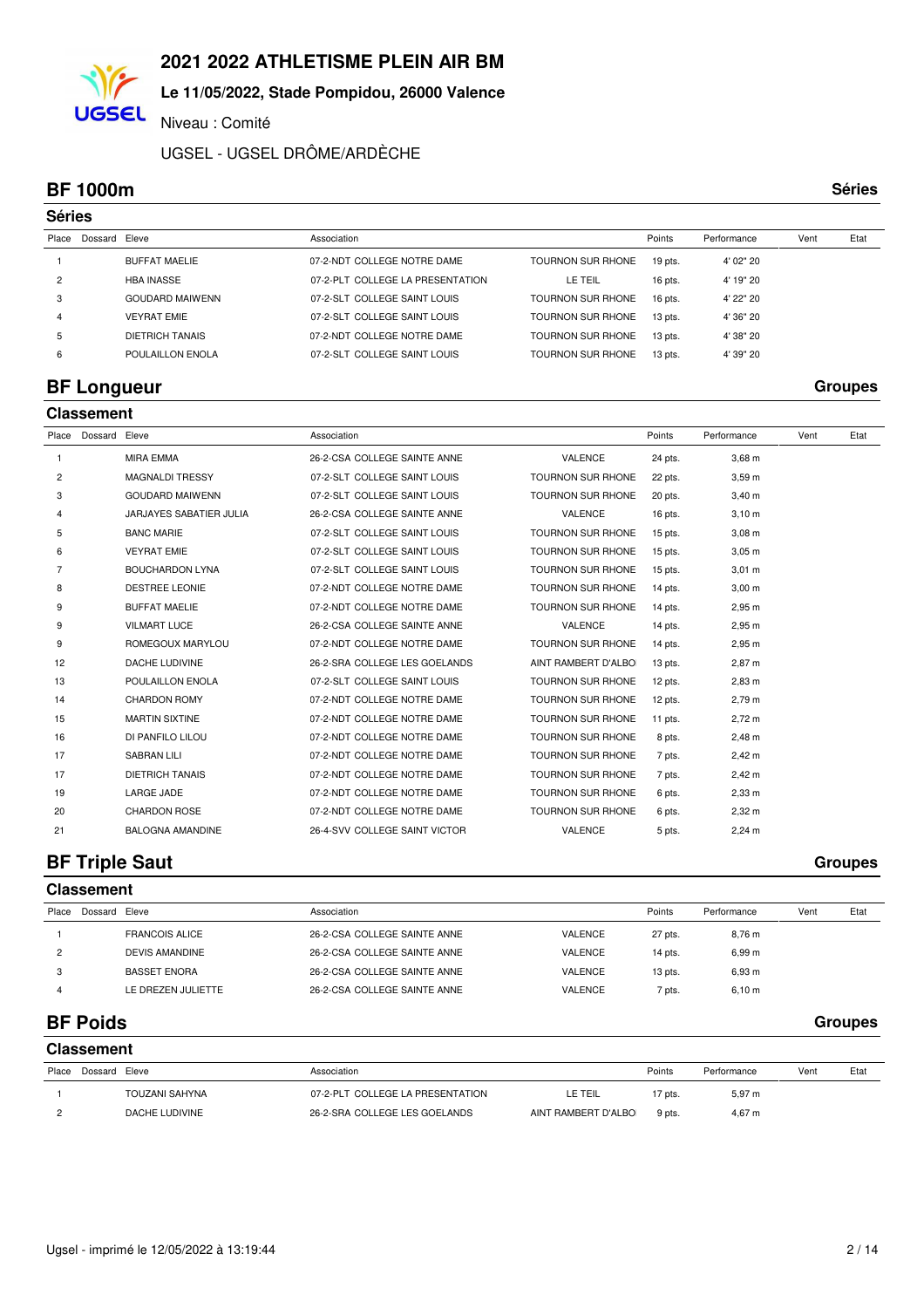## **Le 11/05/2022, Stade Pompidou, 26000 Valence**

Niveau : Comité

UGSEL - UGSEL DRÔME/ARDÈCHE

#### **BF 1000m Séries**

**UGSEL** 

|                | <b>Séries</b> |                        |                                  |                          |           |             |      |      |  |  |  |  |
|----------------|---------------|------------------------|----------------------------------|--------------------------|-----------|-------------|------|------|--|--|--|--|
| Place          | Dossard Eleve |                        | Association                      |                          | Points    | Performance | Vent | Etat |  |  |  |  |
|                |               | BUFFAT MAELIE          | 07-2-NDT COLLEGE NOTRE DAME      | <b>TOURNON SUR RHONE</b> | $19$ pts. | 4' 02" 20   |      |      |  |  |  |  |
| $\overline{2}$ |               | <b>HBA INASSE</b>      | 07-2-PLT COLLEGE LA PRESENTATION | LE TEIL                  | 16 pts.   | 4' 19" 20   |      |      |  |  |  |  |
| 3              |               | <b>GOUDARD MAIWENN</b> | 07-2-SLT COLLEGE SAINT LOUIS     | <b>TOURNON SUR RHONE</b> | 16 pts.   | 4' 22" 20   |      |      |  |  |  |  |
| 4              |               | <b>VEYRAT EMIE</b>     | 07-2-SLT COLLEGE SAINT LOUIS     | <b>TOURNON SUR RHONE</b> | $13$ pts. | 4' 36" 20   |      |      |  |  |  |  |
| 5              |               | DIETRICH TANAIS        | 07-2-NDT COLLEGE NOTRE DAME      | <b>TOURNON SUR RHONE</b> | $13$ pts. | 4' 38" 20   |      |      |  |  |  |  |
| 6              |               | POULAILLON ENOLA       | 07-2-SLT COLLEGE SAINT LOUIS     | TOURNON SUR RHONE        | $13$ pts. | 4' 39" 20   |      |      |  |  |  |  |

## **BF Longueur Groupes**

|       | <b>Classement</b> |                         |                               |                          |           |                    |      |      |  |  |  |  |
|-------|-------------------|-------------------------|-------------------------------|--------------------------|-----------|--------------------|------|------|--|--|--|--|
| Place | Dossard Eleve     |                         | Association                   |                          | Points    | Performance        | Vent | Etat |  |  |  |  |
| 1     |                   | <b>MIRA EMMA</b>        | 26-2-CSA COLLEGE SAINTE ANNE  | <b>VALENCE</b>           | 24 pts.   | $3,68$ m           |      |      |  |  |  |  |
| 2     |                   | MAGNALDI TRESSY         | 07-2-SLT COLLEGE SAINT LOUIS  | <b>TOURNON SUR RHONE</b> | 22 pts.   | 3,59m              |      |      |  |  |  |  |
| 3     |                   | <b>GOUDARD MAIWENN</b>  | 07-2-SLT COLLEGE SAINT LOUIS  | <b>TOURNON SUR RHONE</b> | 20 pts.   | $3,40 \; m$        |      |      |  |  |  |  |
| 4     |                   | JARJAYES SABATIER JULIA | 26-2-CSA COLLEGE SAINTE ANNE  | <b>VALENCE</b>           | 16 pts.   | 3,10 m             |      |      |  |  |  |  |
| 5     |                   | <b>BANC MARIE</b>       | 07-2-SLT COLLEGE SAINT LOUIS  | <b>TOURNON SUR RHONE</b> | 15 pts.   | $3,08 \, \text{m}$ |      |      |  |  |  |  |
| 6     |                   | <b>VEYRAT EMIE</b>      | 07-2-SLT COLLEGE SAINT LOUIS  | <b>TOURNON SUR RHONE</b> | $15$ pts. | $3,05 \; m$        |      |      |  |  |  |  |
| 7     |                   | <b>BOUCHARDON LYNA</b>  | 07-2-SLT COLLEGE SAINT LOUIS  | TOURNON SUR RHONE        | $15$ pts. | $3,01 \; m$        |      |      |  |  |  |  |
| 8     |                   | <b>DESTREE LEONIE</b>   | 07-2-NDT COLLEGE NOTRE DAME   | <b>TOURNON SUR RHONE</b> | 14 pts.   | $3,00 \; m$        |      |      |  |  |  |  |
| 9     |                   | <b>BUFFAT MAELIE</b>    | 07-2-NDT COLLEGE NOTRE DAME   | <b>TOURNON SUR RHONE</b> | 14 pts.   | 2,95 m             |      |      |  |  |  |  |
| 9     |                   | <b>VILMART LUCE</b>     | 26-2-CSA COLLEGE SAINTE ANNE  | VALENCE                  | 14 pts.   | 2,95 m             |      |      |  |  |  |  |
| 9     |                   | ROMEGOUX MARYLOU        | 07-2-NDT COLLEGE NOTRE DAME   | <b>TOURNON SUR RHONE</b> | 14 pts.   | 2,95 m             |      |      |  |  |  |  |
| 12    |                   | DACHE LUDIVINE          | 26-2-SRA COLLEGE LES GOELANDS | AINT RAMBERT D'ALBOI     | $13$ pts. | 2,87 m             |      |      |  |  |  |  |
| 13    |                   | POULAILLON ENOLA        | 07-2-SLT COLLEGE SAINT LOUIS  | <b>TOURNON SUR RHONE</b> | $12$ pts. | $2,83 \, m$        |      |      |  |  |  |  |
| 14    |                   | <b>CHARDON ROMY</b>     | 07-2-NDT COLLEGE NOTRE DAME   | TOURNON SUR RHONE        | $12$ pts. | 2,79 m             |      |      |  |  |  |  |
| 15    |                   | <b>MARTIN SIXTINE</b>   | 07-2-NDT COLLEGE NOTRE DAME   | <b>TOURNON SUR RHONE</b> | 11 pts.   | $2,72 \; m$        |      |      |  |  |  |  |
| 16    |                   | DI PANFILO LILOU        | 07-2-NDT COLLEGE NOTRE DAME   | <b>TOURNON SUR RHONE</b> | 8 pts.    | $2,48 \, m$        |      |      |  |  |  |  |
| 17    |                   | <b>SABRAN LILI</b>      | 07-2-NDT COLLEGE NOTRE DAME   | <b>TOURNON SUR RHONE</b> | 7 pts.    | $2,42 \, m$        |      |      |  |  |  |  |
| 17    |                   | <b>DIETRICH TANAIS</b>  | 07-2-NDT COLLEGE NOTRE DAME   | <b>TOURNON SUR RHONE</b> | 7 pts.    | 2,42 m             |      |      |  |  |  |  |
| 19    |                   | <b>LARGE JADE</b>       | 07-2-NDT COLLEGE NOTRE DAME   | <b>TOURNON SUR RHONE</b> | 6 pts.    | $2,33$ m           |      |      |  |  |  |  |
| 20    |                   | <b>CHARDON ROSE</b>     | 07-2-NDT COLLEGE NOTRE DAME   | <b>TOURNON SUR RHONE</b> | 6 pts.    | $2,32 \, m$        |      |      |  |  |  |  |
| 21    |                   | <b>BALOGNA AMANDINE</b> | 26-4-SVV COLLEGE SAINT VICTOR | VALENCE                  | 5 pts.    | $2,24 \, m$        |      |      |  |  |  |  |
|       |                   |                         |                               |                          |           |                    |      |      |  |  |  |  |

## **BF Triple Saut** Groupes

|       | <b>Classement</b> |                       |                              |                |           |             |      |      |
|-------|-------------------|-----------------------|------------------------------|----------------|-----------|-------------|------|------|
| Place | Dossard Eleve     |                       | Association                  |                | Points    | Performance | Vent | Etat |
|       |                   | <b>FRANCOIS ALICE</b> | 26-2-CSA COLLEGE SAINTE ANNE | VALENCE        | 27 pts.   | 8,76 m      |      |      |
| 2     |                   | <b>DEVIS AMANDINE</b> | 26-2-CSA COLLEGE SAINTE ANNE | <b>VALENCE</b> | $14$ pts. | 6,99 m      |      |      |
|       |                   | <b>BASSET ENORA</b>   | 26-2-CSA COLLEGE SAINTE ANNE | VALENCE        | $13$ pts. | 6,93 m      |      |      |
|       |                   | LE DREZEN JULIETTE    | 26-2-CSA COLLEGE SAINTE ANNE | <b>VALENCE</b> | 7 pts.    | 6,10 m      |      |      |

## **BF Poids Groupes**

|       | <b>Classement</b> |                |                                  |                     |         |             |      |      |
|-------|-------------------|----------------|----------------------------------|---------------------|---------|-------------|------|------|
| Place | Dossard Eleve     |                | Association                      |                     | Points  | Performance | Vent | Etat |
|       |                   | TOUZANI SAHYNA | 07-2-PLT COLLEGE LA PRESENTATION | LE TEIL             | 17 pts. | $5,97 \; m$ |      |      |
|       |                   | DACHE LUDIVINE | 26-2-SRA COLLEGE LES GOELANDS    | AINT RAMBERT D'ALBO | 9 pts.  | 4,67 m      |      |      |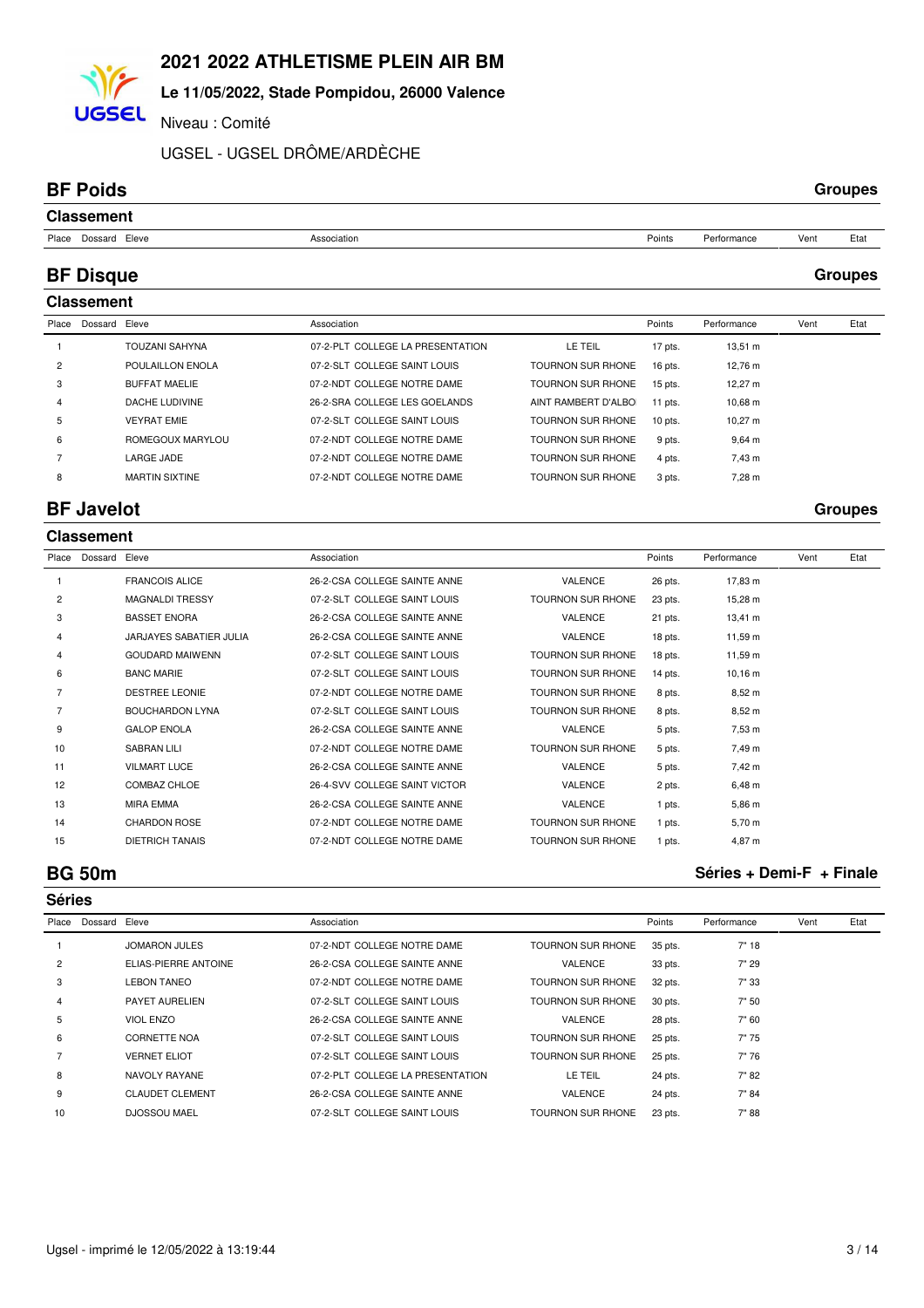## **Le 11/05/2022, Stade Pompidou, 26000 Valence**

Niveau : Comité

UGSEL - UGSEL DRÔME/ARDÈCHE

### **BF Poids Groupes**

**UGSEL** 

| <b>Classement</b>   |             |        |             |      |      |
|---------------------|-------------|--------|-------------|------|------|
| Place Dossard Eleve | Association | Points | Performance | Vent | Etat |

## **BF Disque Groupes**

|                | <b>Classement</b> |                       |                                  |                          |           |                    |      |      |
|----------------|-------------------|-----------------------|----------------------------------|--------------------------|-----------|--------------------|------|------|
| Place          | Dossard Eleve     |                       | Association                      |                          | Points    | Performance        | Vent | Etat |
|                |                   | <b>TOUZANI SAHYNA</b> | 07-2-PLT COLLEGE LA PRESENTATION | LE TEIL                  | 17 pts.   | $13,51 \; m$       |      |      |
| $\overline{c}$ |                   | POULAILLON ENOLA      | 07-2-SLT COLLEGE SAINT LOUIS     | <b>TOURNON SUR RHONE</b> | 16 pts.   | 12,76 m            |      |      |
| 3              |                   | <b>BUFFAT MAELIE</b>  | 07-2-NDT COLLEGE NOTRE DAME      | <b>TOURNON SUR RHONE</b> | $15$ pts. | $12,27 \text{ m}$  |      |      |
| 4              |                   | DACHE LUDIVINE        | 26-2-SRA COLLEGE LES GOELANDS    | AINT RAMBERT D'ALBO      | 11 pts.   | 10.68 m            |      |      |
| 5              |                   | <b>VEYRAT EMIE</b>    | 07-2-SLT COLLEGE SAINT LOUIS     | TOURNON SUR RHONE        | $10$ pts. | 10.27 $m$          |      |      |
| 6              |                   | ROMEGOUX MARYLOU      | 07-2-NDT COLLEGE NOTRE DAME      | <b>TOURNON SUR RHONE</b> | 9 pts.    | $9,64 \, \text{m}$ |      |      |
|                |                   | <b>LARGE JADE</b>     | 07-2-NDT COLLEGE NOTRE DAME      | <b>TOURNON SUR RHONE</b> | 4 pts.    | 7,43 m             |      |      |
| 8              |                   | <b>MARTIN SIXTINE</b> | 07-2-NDT COLLEGE NOTRE DAME      | TOURNON SUR RHONE        | 3 pts.    | 7,28 m             |      |      |
|                |                   |                       |                                  |                          |           |                    |      |      |

## **BF Javelot Groupes**

|                | <b>Classement</b> |                         |                               |                          |         |              |      |      |
|----------------|-------------------|-------------------------|-------------------------------|--------------------------|---------|--------------|------|------|
| Place          | Dossard           | Eleve                   | Association                   |                          | Points  | Performance  | Vent | Etat |
|                |                   | <b>FRANCOIS ALICE</b>   | 26-2-CSA COLLEGE SAINTE ANNE  | <b>VALENCE</b>           | 26 pts. | 17,83 m      |      |      |
| $\overline{2}$ |                   | <b>MAGNALDI TRESSY</b>  | 07-2-SLT COLLEGE SAINT LOUIS  | <b>TOURNON SUR RHONE</b> | 23 pts. | 15,28 m      |      |      |
| 3              |                   | <b>BASSET ENORA</b>     | 26-2-CSA COLLEGE SAINTE ANNE  | <b>VALENCE</b>           | 21 pts. | $13,41 \; m$ |      |      |
| 4              |                   | JARJAYES SABATIER JULIA | 26-2-CSA COLLEGE SAINTE ANNE  | <b>VALENCE</b>           | 18 pts. | 11,59 m      |      |      |
| 4              |                   | <b>GOUDARD MAIWENN</b>  | 07-2-SLT COLLEGE SAINT LOUIS  | TOURNON SUR RHONE        | 18 pts. | 11,59 m      |      |      |
| 6              |                   | <b>BANC MARIE</b>       | 07-2-SLT COLLEGE SAINT LOUIS  | <b>TOURNON SUR RHONE</b> | 14 pts. | $10,16 \; m$ |      |      |
|                |                   | <b>DESTREE LEONIE</b>   | 07-2-NDT COLLEGE NOTRE DAME   | <b>TOURNON SUR RHONE</b> | 8 pts.  | $8,52 \; m$  |      |      |
|                |                   | <b>BOUCHARDON LYNA</b>  | 07-2-SLT COLLEGE SAINT LOUIS  | <b>TOURNON SUR RHONE</b> | 8 pts.  | 8,52 m       |      |      |
| 9              |                   | <b>GALOP ENOLA</b>      | 26-2-CSA COLLEGE SAINTE ANNE  | VALENCE                  | 5 pts.  | $7,53 \; m$  |      |      |
| 10             |                   | <b>SABRAN LILI</b>      | 07-2-NDT COLLEGE NOTRE DAME   | <b>TOURNON SUR RHONE</b> | 5 pts.  | 7,49 m       |      |      |
| 11             |                   | <b>VILMART LUCE</b>     | 26-2-CSA COLLEGE SAINTE ANNE  | VALENCE                  | 5 pts.  | 7,42 m       |      |      |
| 12             |                   | COMBAZ CHLOE            | 26-4-SVV COLLEGE SAINT VICTOR | VALENCE                  | 2 pts.  | $6,48 \; m$  |      |      |
| 13             |                   | <b>MIRA EMMA</b>        | 26-2-CSA COLLEGE SAINTE ANNE  | <b>VALENCE</b>           | 1 pts.  | 5.86 m       |      |      |
| 14             |                   | <b>CHARDON ROSE</b>     | 07-2-NDT COLLEGE NOTRE DAME   | <b>TOURNON SUR RHONE</b> | 1 pts.  | $5,70 \; m$  |      |      |
| 15             |                   | <b>DIETRICH TANAIS</b>  | 07-2-NDT COLLEGE NOTRE DAME   | <b>TOURNON SUR RHONE</b> | 1 pts.  | 4.87 m       |      |      |

**Séries**

# **BG 50m Séries + Demi-F + Finale**

| Place | Dossard Eleve |                        | Association                      |                          | Points  | Performance | Vent | Etat |
|-------|---------------|------------------------|----------------------------------|--------------------------|---------|-------------|------|------|
|       |               | <b>JOMARON JULES</b>   | 07-2-NDT COLLEGE NOTRE DAME      | TOURNON SUR RHONE        | 35 pts. | 7" 18       |      |      |
| 2     |               | ELIAS-PIERRE ANTOINE   | 26-2-CSA COLLEGE SAINTE ANNE     | <b>VALENCE</b>           | 33 pts. | 7" 29       |      |      |
| 3     |               | <b>LEBON TANEO</b>     | 07-2-NDT COLLEGE NOTRE DAME      | <b>TOURNON SUR RHONE</b> | 32 pts. | 7"33        |      |      |
| 4     |               | PAYET AURELIEN         | 07-2-SLT COLLEGE SAINT LOUIS     | <b>TOURNON SUR RHONE</b> | 30 pts. | 7" 50       |      |      |
| 5     |               | VIOL ENZO              | 26-2-CSA COLLEGE SAINTE ANNE     | <b>VALENCE</b>           | 28 pts. | 7" 60       |      |      |
| 6     |               | CORNETTE NOA           | 07-2-SLT COLLEGE SAINT LOUIS     | <b>TOURNON SUR RHONE</b> | 25 pts. | 7"75        |      |      |
|       |               | <b>VERNET ELIOT</b>    | 07-2-SLT COLLEGE SAINT LOUIS     | <b>TOURNON SUR RHONE</b> | 25 pts. | 7"76        |      |      |
| 8     |               | NAVOLY RAYANE          | 07-2-PLT COLLEGE LA PRESENTATION | LE TEIL                  | 24 pts. | 7" 82       |      |      |
| 9     |               | <b>CLAUDET CLEMENT</b> | 26-2-CSA COLLEGE SAINTE ANNE     | <b>VALENCE</b>           | 24 pts. | 7" 84       |      |      |
| 10    |               | <b>DJOSSOU MAEL</b>    | 07-2-SLT COLLEGE SAINT LOUIS     | <b>TOURNON SUR RHONE</b> | 23 pts. | 7"88        |      |      |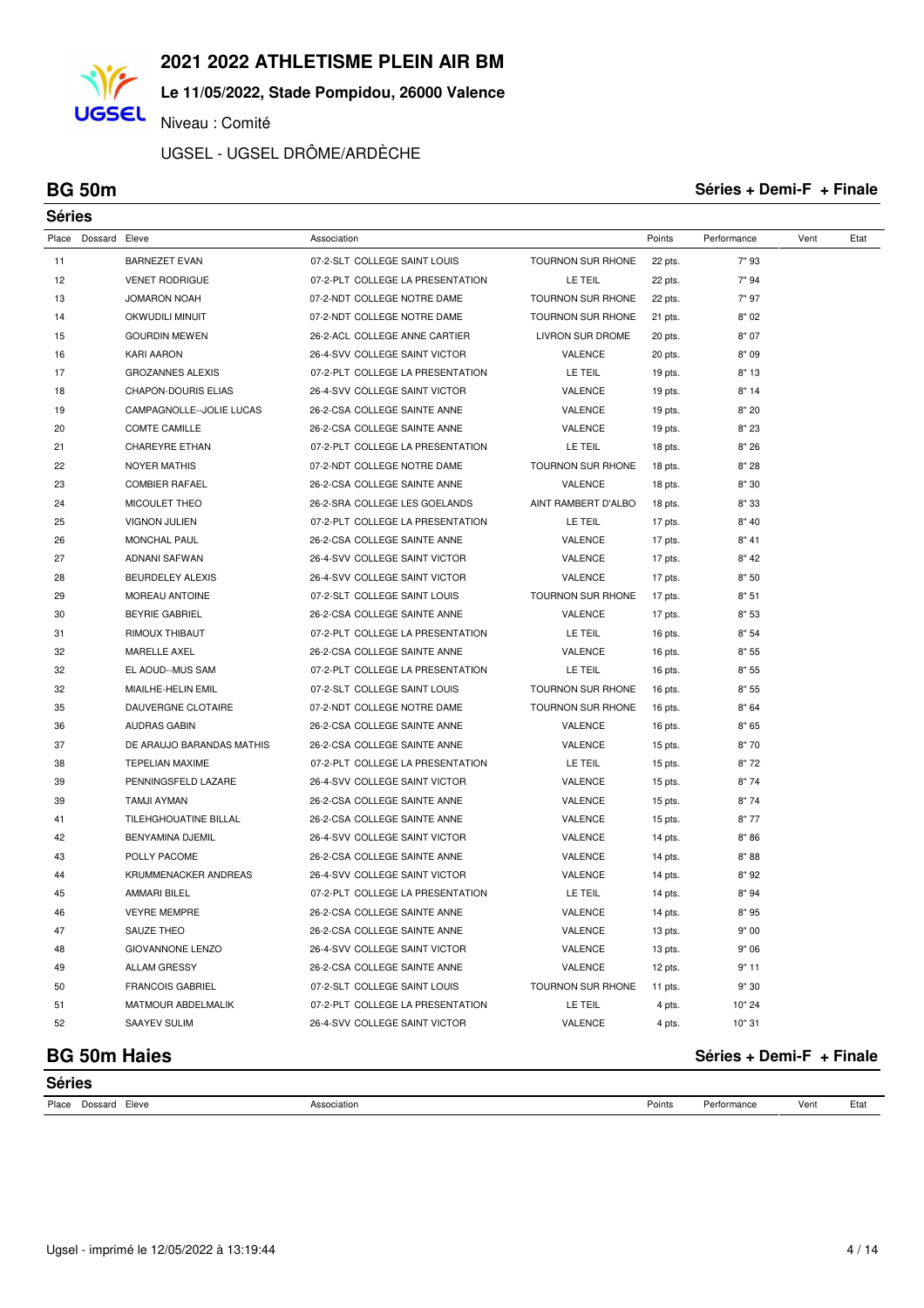**Le 11/05/2022, Stade Pompidou, 26000 Valence**

Niveau : Comité

UGSEL - UGSEL DRÔME/ARDÈCHE

**UGSEL** 

#### **BG 50m Séries + Demi-F + Finale**

| <b>Séries</b> |               |                            |                                  |                          |         |             |      |      |
|---------------|---------------|----------------------------|----------------------------------|--------------------------|---------|-------------|------|------|
| Place         | Dossard Eleve |                            | Association                      |                          | Points  | Performance | Vent | Etat |
| 11            |               | <b>BARNEZET EVAN</b>       | 07-2-SLT COLLEGE SAINT LOUIS     | <b>TOURNON SUR RHONE</b> | 22 pts. | 7"93        |      |      |
| 12            |               | <b>VENET RODRIGUE</b>      | 07-2-PLT COLLEGE LA PRESENTATION | LE TEIL                  | 22 pts. | 7" 94       |      |      |
| 13            |               | <b>JOMARON NOAH</b>        | 07-2-NDT COLLEGE NOTRE DAME      | <b>TOURNON SUR RHONE</b> | 22 pts. | 7" 97       |      |      |
| 14            |               | OKWUDILI MINUIT            | 07-2-NDT COLLEGE NOTRE DAME      | <b>TOURNON SUR RHONE</b> | 21 pts. | 8"02        |      |      |
| 15            |               | <b>GOURDIN MEWEN</b>       | 26-2-ACL COLLEGE ANNE CARTIER    | LIVRON SUR DROME         | 20 pts. | 8" 07       |      |      |
| 16            |               | <b>KARI AARON</b>          | 26-4-SVV COLLEGE SAINT VICTOR    | VALENCE                  | 20 pts. | 8"09        |      |      |
| 17            |               | <b>GROZANNES ALEXIS</b>    | 07-2-PLT COLLEGE LA PRESENTATION | LE TEIL                  | 19 pts. | 8"13        |      |      |
| 18            |               | <b>CHAPON-DOURIS ELIAS</b> | 26-4-SVV COLLEGE SAINT VICTOR    | VALENCE                  | 19 pts. | 8"14        |      |      |
| 19            |               | CAMPAGNOLLE--JOLIE LUCAS   | 26-2-CSA COLLEGE SAINTE ANNE     | VALENCE                  | 19 pts. | 8" 20       |      |      |
| 20            |               | <b>COMTE CAMILLE</b>       | 26-2-CSA COLLEGE SAINTE ANNE     | VALENCE                  | 19 pts. | 8" 23       |      |      |
| 21            |               | <b>CHAREYRE ETHAN</b>      | 07-2-PLT COLLEGE LA PRESENTATION | LE TEIL                  | 18 pts. | 8"26        |      |      |
| 22            |               | <b>NOYER MATHIS</b>        | 07-2-NDT COLLEGE NOTRE DAME      | TOURNON SUR RHONE        | 18 pts. | 8" 28       |      |      |
| 23            |               | <b>COMBIER RAFAEL</b>      | 26-2-CSA COLLEGE SAINTE ANNE     | VALENCE                  | 18 pts. | 8"30        |      |      |
| 24            |               | MICOULET THEO              | 26-2-SRA COLLEGE LES GOELANDS    | AINT RAMBERT D'ALBO      | 18 pts. | 8" 33       |      |      |
| 25            |               | <b>VIGNON JULIEN</b>       | 07-2-PLT COLLEGE LA PRESENTATION | LE TEIL                  | 17 pts. | 8" 40       |      |      |
| 26            |               | MONCHAL PAUL               | 26-2-CSA COLLEGE SAINTE ANNE     | VALENCE                  | 17 pts. | 8" 41       |      |      |
| 27            |               | ADNANI SAFWAN              | 26-4-SVV COLLEGE SAINT VICTOR    | VALENCE                  | 17 pts. | 8" 42       |      |      |
| 28            |               | BEURDELEY ALEXIS           | 26-4-SVV COLLEGE SAINT VICTOR    | VALENCE                  | 17 pts. | 8" 50       |      |      |
| 29            |               | MOREAU ANTOINE             | 07-2-SLT COLLEGE SAINT LOUIS     | TOURNON SUR RHONE        | 17 pts. | 8" 51       |      |      |
| 30            |               | <b>BEYRIE GABRIEL</b>      | 26-2-CSA COLLEGE SAINTE ANNE     | VALENCE                  | 17 pts. | 8" 53       |      |      |
| 31            |               | RIMOUX THIBAUT             | 07-2-PLT COLLEGE LA PRESENTATION | LE TEIL                  | 16 pts. | 8"54        |      |      |
| 32            |               | MARELLE AXEL               | 26-2-CSA COLLEGE SAINTE ANNE     | VALENCE                  | 16 pts. | 8" 55       |      |      |
| 32            |               | EL AOUD--MUS SAM           | 07-2-PLT COLLEGE LA PRESENTATION | LE TEIL                  | 16 pts. | 8" 55       |      |      |
| 32            |               | MIAILHE-HELIN EMIL         | 07-2-SLT COLLEGE SAINT LOUIS     | TOURNON SUR RHONE        | 16 pts. | 8" 55       |      |      |
| 35            |               | DAUVERGNE CLOTAIRE         | 07-2-NDT COLLEGE NOTRE DAME      | TOURNON SUR RHONE        | 16 pts. | 8" 64       |      |      |
| 36            |               | <b>AUDRAS GABIN</b>        | 26-2-CSA COLLEGE SAINTE ANNE     | VALENCE                  | 16 pts. | 8"65        |      |      |
| 37            |               | DE ARAUJO BARANDAS MATHIS  | 26-2-CSA COLLEGE SAINTE ANNE     | VALENCE                  | 15 pts. | 8"70        |      |      |
| 38            |               | <b>TEPELIAN MAXIME</b>     | 07-2-PLT COLLEGE LA PRESENTATION | LE TEIL                  | 15 pts. | 8"72        |      |      |
| 39            |               | PENNINGSFELD LAZARE        | 26-4-SVV COLLEGE SAINT VICTOR    | VALENCE                  | 15 pts. | 8"74        |      |      |
| 39            |               | TAMJI AYMAN                | 26-2-CSA COLLEGE SAINTE ANNE     | VALENCE                  | 15 pts. | 8"74        |      |      |
| 41            |               | TILEHGHOUATINE BILLAL      | 26-2-CSA COLLEGE SAINTE ANNE     | VALENCE                  | 15 pts. | 8"77        |      |      |
| 42            |               | BENYAMINA DJEMIL           | 26-4-SVV COLLEGE SAINT VICTOR    | VALENCE                  | 14 pts. | 8"86        |      |      |
| 43            |               | POLLY PACOME               | 26-2-CSA COLLEGE SAINTE ANNE     | VALENCE                  | 14 pts. | 8"88        |      |      |
| 44            |               | KRUMMENACKER ANDREAS       | 26-4-SVV COLLEGE SAINT VICTOR    | VALENCE                  | 14 pts. | 8"92        |      |      |
| 45            |               | <b>AMMARI BILEL</b>        | 07-2-PLT COLLEGE LA PRESENTATION | LE TEIL                  | 14 pts. | 8"94        |      |      |
| 46            |               | <b>VEYRE MEMPRE</b>        | 26-2-CSA COLLEGE SAINTE ANNE     | VALENCE                  | 14 pts. | 8"95        |      |      |
| 47            |               | SAUZE THEO                 | 26-2-CSA COLLEGE SAINTE ANNE     | VALENCE                  | 13 pts. | 9" 00       |      |      |
| 48            |               | <b>GIOVANNONE LENZO</b>    | 26-4-SVV COLLEGE SAINT VICTOR    | VALENCE                  | 13 pts. | 9" 06       |      |      |
| 49            |               | <b>ALLAM GRESSY</b>        | 26-2-CSA COLLEGE SAINTE ANNE     | VALENCE                  | 12 pts. | 9"11        |      |      |
| 50            |               | <b>FRANCOIS GABRIEL</b>    | 07-2-SLT COLLEGE SAINT LOUIS     | TOURNON SUR RHONE        | 11 pts. | 9" 30       |      |      |
| 51            |               | MATMOUR ABDELMALIK         | 07-2-PLT COLLEGE LA PRESENTATION | LE TEIL                  | 4 pts.  | 10" 24      |      |      |
| 52            |               | SAAYEV SULIM               | 26-4-SVV COLLEGE SAINT VICTOR    | VALENCE                  | 4 pts.  | 10" 31      |      |      |

**Séries**

## **BG 50m Haies Séries + Demi-F + Finale**

| Place | Eleve<br>Dossard<br>. | Association<br>. | Points | د م د<br>วrmanc⊾<br>. | Ven | Eta.<br>--- |
|-------|-----------------------|------------------|--------|-----------------------|-----|-------------|
|       |                       |                  |        |                       |     |             |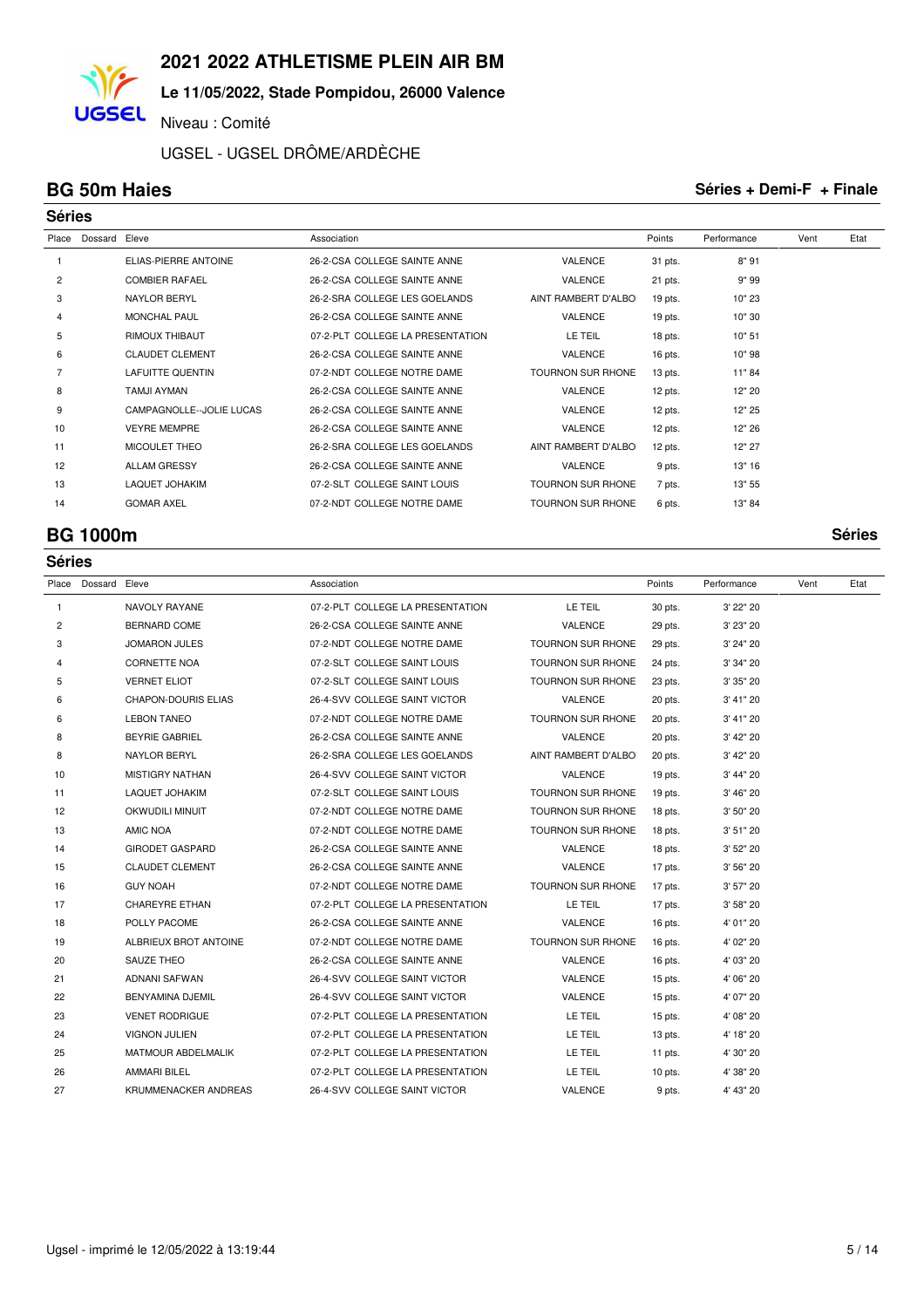### **Le 11/05/2022, Stade Pompidou, 26000 Valence**

Niveau : Comité

UGSEL - UGSEL DRÔME/ARDÈCHE

**UGSEL** 

### **BG 50m Haies Séries + Demi-F + Finale**

|                | <b>Séries</b> |                             |                                  |                          |           |             |      |      |  |  |  |
|----------------|---------------|-----------------------------|----------------------------------|--------------------------|-----------|-------------|------|------|--|--|--|
| Place          | Dossard       | Eleve                       | Association                      |                          | Points    | Performance | Vent | Etat |  |  |  |
|                |               | <b>ELIAS-PIERRE ANTOINE</b> | 26-2-CSA COLLEGE SAINTE ANNE     | <b>VALENCE</b>           | 31 pts.   | 8"91        |      |      |  |  |  |
| $\overline{2}$ |               | <b>COMBIER RAFAEL</b>       | 26-2-CSA COLLEGE SAINTE ANNE     | <b>VALENCE</b>           | 21 pts.   | 9" 99       |      |      |  |  |  |
| 3              |               | <b>NAYLOR BERYL</b>         | 26-2-SRA COLLEGE LES GOELANDS    | AINT RAMBERT D'ALBO      | 19 pts.   | 10" 23      |      |      |  |  |  |
| 4              |               | <b>MONCHAL PAUL</b>         | 26-2-CSA COLLEGE SAINTE ANNE     | <b>VALENCE</b>           | 19 pts.   | 10" 30      |      |      |  |  |  |
| 5              |               | <b>RIMOUX THIBAUT</b>       | 07-2-PLT COLLEGE LA PRESENTATION | LE TEIL                  | 18 pts.   | 10" 51      |      |      |  |  |  |
| 6              |               | <b>CLAUDET CLEMENT</b>      | 26-2-CSA COLLEGE SAINTE ANNE     | <b>VALENCE</b>           | $16$ pts. | 10"98       |      |      |  |  |  |
|                |               | <b>LAFUITTE QUENTIN</b>     | 07-2-NDT COLLEGE NOTRE DAME      | <b>TOURNON SUR RHONE</b> | $13$ pts. | 11"84       |      |      |  |  |  |
| 8              |               | <b>TAMJI AYMAN</b>          | 26-2-CSA COLLEGE SAINTE ANNE     | VALENCE                  | 12 pts.   | 12" 20      |      |      |  |  |  |
| 9              |               | CAMPAGNOLLE--JOLIE LUCAS    | 26-2-CSA COLLEGE SAINTE ANNE     | VALENCE                  | 12 pts.   | 12" 25      |      |      |  |  |  |
| 10             |               | <b>VEYRE MEMPRE</b>         | 26-2-CSA COLLEGE SAINTE ANNE     | VALENCE                  | 12 pts.   | 12" 26      |      |      |  |  |  |
| 11             |               | MICOULET THEO               | 26-2-SRA COLLEGE LES GOELANDS    | AINT RAMBERT D'ALBO      | 12 pts.   | 12" 27      |      |      |  |  |  |
| 12             |               | <b>ALLAM GRESSY</b>         | 26-2-CSA COLLEGE SAINTE ANNE     | <b>VALENCE</b>           | 9 pts.    | 13" 16      |      |      |  |  |  |
| 13             |               | <b>LAQUET JOHAKIM</b>       | 07-2-SLT COLLEGE SAINT LOUIS     | <b>TOURNON SUR RHONE</b> | 7 pts.    | 13" 55      |      |      |  |  |  |
| 14             |               | <b>GOMAR AXEL</b>           | 07-2-NDT COLLEGE NOTRE DAME      | <b>TOURNON SUR RHONE</b> | 6 pts.    | 13" 84      |      |      |  |  |  |

### **BG 1000m Séries**

|    | <b>Séries</b>       |                            |                                  |                          |           |             |      |      |  |  |  |  |
|----|---------------------|----------------------------|----------------------------------|--------------------------|-----------|-------------|------|------|--|--|--|--|
|    | Place Dossard Eleve |                            | Association                      |                          | Points    | Performance | Vent | Etat |  |  |  |  |
| 1  |                     | NAVOLY RAYANE              | 07-2-PLT COLLEGE LA PRESENTATION | LE TEIL                  | 30 pts.   | 3' 22" 20   |      |      |  |  |  |  |
| 2  |                     | <b>BERNARD COME</b>        | 26-2-CSA COLLEGE SAINTE ANNE     | VALENCE                  | 29 pts.   | 3' 23" 20   |      |      |  |  |  |  |
| 3  |                     | <b>JOMARON JULES</b>       | 07-2-NDT COLLEGE NOTRE DAME      | TOURNON SUR RHONE        | 29 pts.   | 3' 24" 20   |      |      |  |  |  |  |
| 4  |                     | <b>CORNETTE NOA</b>        | 07-2-SLT COLLEGE SAINT LOUIS     | TOURNON SUR RHONE        | 24 pts.   | 3' 34" 20   |      |      |  |  |  |  |
| 5  |                     | <b>VERNET ELIOT</b>        | 07-2-SLT COLLEGE SAINT LOUIS     | <b>TOURNON SUR RHONE</b> | 23 pts.   | 3' 35" 20   |      |      |  |  |  |  |
| 6  |                     | <b>CHAPON-DOURIS ELIAS</b> | 26-4-SVV COLLEGE SAINT VICTOR    | VALENCE                  | 20 pts.   | 3' 41" 20   |      |      |  |  |  |  |
| 6  |                     | <b>LEBON TANEO</b>         | 07-2-NDT COLLEGE NOTRE DAME      | <b>TOURNON SUR RHONE</b> | 20 pts.   | 3' 41" 20   |      |      |  |  |  |  |
| 8  |                     | <b>BEYRIE GABRIEL</b>      | 26-2-CSA COLLEGE SAINTE ANNE     | VALENCE                  | 20 pts.   | 3' 42" 20   |      |      |  |  |  |  |
| 8  |                     | NAYLOR BERYL               | 26-2-SRA COLLEGE LES GOELANDS    | AINT RAMBERT D'ALBOI     | 20 pts.   | 3' 42" 20   |      |      |  |  |  |  |
| 10 |                     | <b>MISTIGRY NATHAN</b>     | 26-4-SVV COLLEGE SAINT VICTOR    | VALENCE                  | 19 pts.   | 3' 44" 20   |      |      |  |  |  |  |
| 11 |                     | <b>LAQUET JOHAKIM</b>      | 07-2-SLT COLLEGE SAINT LOUIS     | TOURNON SUR RHONE        | 19 pts.   | 3' 46" 20   |      |      |  |  |  |  |
| 12 |                     | OKWUDILI MINUIT            | 07-2-NDT COLLEGE NOTRE DAME      | <b>TOURNON SUR RHONE</b> | 18 pts.   | 3' 50" 20   |      |      |  |  |  |  |
| 13 |                     | AMIC NOA                   | 07-2-NDT COLLEGE NOTRE DAME      | TOURNON SUR RHONE        | $18$ pts. | 3' 51" 20   |      |      |  |  |  |  |
| 14 |                     | <b>GIRODET GASPARD</b>     | 26-2-CSA COLLEGE SAINTE ANNE     | VALENCE                  | $18$ pts. | 3' 52" 20   |      |      |  |  |  |  |
| 15 |                     | <b>CLAUDET CLEMENT</b>     | 26-2-CSA COLLEGE SAINTE ANNE     | VALENCE                  | 17 pts.   | 3' 56" 20   |      |      |  |  |  |  |
| 16 |                     | <b>GUY NOAH</b>            | 07-2-NDT COLLEGE NOTRE DAME      | <b>TOURNON SUR RHONE</b> | 17 pts.   | 3' 57" 20   |      |      |  |  |  |  |
| 17 |                     | <b>CHAREYRE ETHAN</b>      | 07-2-PLT COLLEGE LA PRESENTATION | LE TEIL                  | 17 pts.   | 3' 58" 20   |      |      |  |  |  |  |
| 18 |                     | POLLY PACOME               | 26-2-CSA COLLEGE SAINTE ANNE     | VALENCE                  | 16 pts.   | 4' 01" 20   |      |      |  |  |  |  |
| 19 |                     | ALBRIEUX BROT ANTOINE      | 07-2-NDT COLLEGE NOTRE DAME      | TOURNON SUR RHONE        | 16 pts.   | 4' 02" 20   |      |      |  |  |  |  |
| 20 |                     | <b>SAUZE THEO</b>          | 26-2-CSA COLLEGE SAINTE ANNE     | VALENCE                  | 16 pts.   | 4' 03" 20   |      |      |  |  |  |  |
| 21 |                     | ADNANI SAFWAN              | 26-4-SVV COLLEGE SAINT VICTOR    | <b>VALENCE</b>           | $15$ pts. | 4' 06" 20   |      |      |  |  |  |  |
| 22 |                     | BENYAMINA DJEMIL           | 26-4-SVV COLLEGE SAINT VICTOR    | VALENCE                  | 15 pts.   | 4' 07" 20   |      |      |  |  |  |  |
| 23 |                     | <b>VENET RODRIGUE</b>      | 07-2-PLT COLLEGE LA PRESENTATION | LE TEIL                  | $15$ pts. | 4' 08" 20   |      |      |  |  |  |  |
| 24 |                     | <b>VIGNON JULIEN</b>       | 07-2-PLT COLLEGE LA PRESENTATION | LE TEIL                  | 13 pts.   | 4' 18" 20   |      |      |  |  |  |  |
| 25 |                     | MATMOUR ABDELMALIK         | 07-2-PLT COLLEGE LA PRESENTATION | LE TEIL                  | 11 pts.   | 4' 30" 20   |      |      |  |  |  |  |
| 26 |                     | <b>AMMARI BILEL</b>        | 07-2-PLT COLLEGE LA PRESENTATION | LE TEIL                  | $10$ pts. | 4' 38" 20   |      |      |  |  |  |  |
| 27 |                     | KRUMMENACKER ANDREAS       | 26-4-SVV COLLEGE SAINT VICTOR    | VALENCE                  | 9 pts.    | 4' 43" 20   |      |      |  |  |  |  |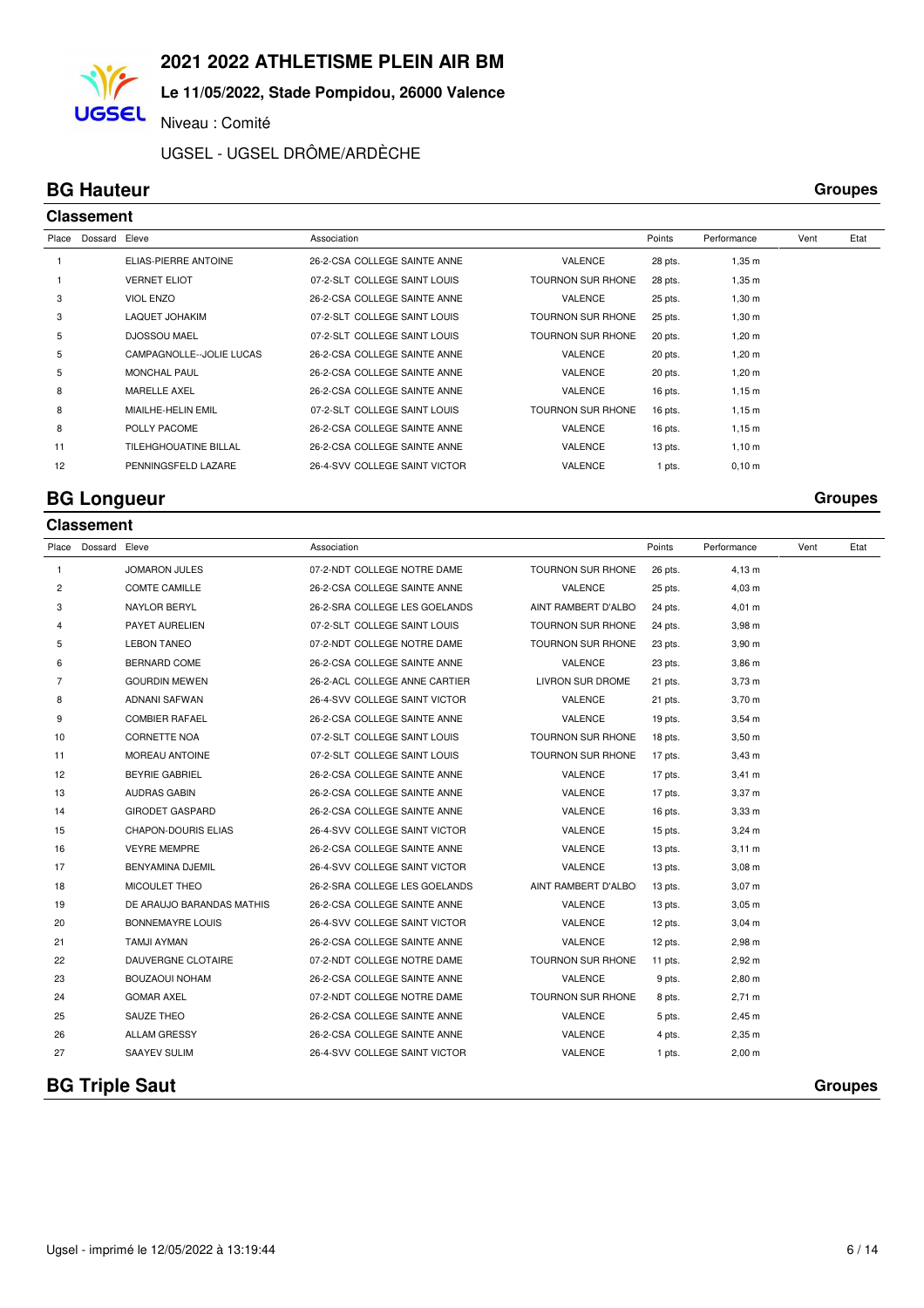## **Le 11/05/2022, Stade Pompidou, 26000 Valence**

Niveau : Comité

UGSEL - UGSEL DRÔME/ARDÈCHE

### **BG Hauteur Groupes Classement**

**UGSEL** 

| Place | Dossard | Eleve                    | Association                   |                          | Points    | Performance        | Vent | Etat |  |  |  |  |
|-------|---------|--------------------------|-------------------------------|--------------------------|-----------|--------------------|------|------|--|--|--|--|
|       |         | ELIAS-PIERRE ANTOINE     | 26-2-CSA COLLEGE SAINTE ANNE  | <b>VALENCE</b>           | 28 pts.   | $1,35 \; m$        |      |      |  |  |  |  |
|       |         | <b>VERNET ELIOT</b>      | 07-2-SLT COLLEGE SAINT LOUIS  | <b>TOURNON SUR RHONE</b> | 28 pts.   | $1,35 \; m$        |      |      |  |  |  |  |
| 3     |         | <b>VIOL ENZO</b>         | 26-2-CSA COLLEGE SAINTE ANNE  | <b>VALENCE</b>           | 25 pts.   | $1,30 \; \text{m}$ |      |      |  |  |  |  |
| 3     |         | <b>LAQUET JOHAKIM</b>    | 07-2-SLT COLLEGE SAINT LOUIS  | <b>TOURNON SUR RHONE</b> | 25 pts.   | $1,30 \; \text{m}$ |      |      |  |  |  |  |
| 5     |         | <b>DJOSSOU MAEL</b>      | 07-2-SLT COLLEGE SAINT LOUIS  | <b>TOURNON SUR RHONE</b> | 20 pts.   | $1,20 \; m$        |      |      |  |  |  |  |
| 5     |         | CAMPAGNOLLE--JOLIE LUCAS | 26-2-CSA COLLEGE SAINTE ANNE  | <b>VALENCE</b>           | 20 pts.   | $1,20 \; m$        |      |      |  |  |  |  |
| 5     |         | <b>MONCHAL PAUL</b>      | 26-2-CSA COLLEGE SAINTE ANNE  | <b>VALENCE</b>           | 20 pts.   | $1,20 \; m$        |      |      |  |  |  |  |
| 8     |         | <b>MARELLE AXEL</b>      | 26-2-CSA COLLEGE SAINTE ANNE  | <b>VALENCE</b>           | $16$ pts. | $1,15 \; m$        |      |      |  |  |  |  |
| 8     |         | MIAILHE-HELIN EMIL       | 07-2-SLT COLLEGE SAINT LOUIS  | <b>TOURNON SUR RHONE</b> | $16$ pts. | $1,15 \; m$        |      |      |  |  |  |  |
| 8     |         | POLLY PACOME             | 26-2-CSA COLLEGE SAINTE ANNE  | <b>VALENCE</b>           | $16$ pts. | $1,15 \; m$        |      |      |  |  |  |  |
| 11    |         | TILEHGHOUATINE BILLAL    | 26-2-CSA COLLEGE SAINTE ANNE  | <b>VALENCE</b>           | 13 pts.   | $1,10 \; \text{m}$ |      |      |  |  |  |  |
| 12    |         | PENNINGSFELD LAZARE      | 26-4-SVV COLLEGE SAINT VICTOR | VALENCE                  | 1 pts.    | $0,10 \; \text{m}$ |      |      |  |  |  |  |
|       |         |                          |                               |                          |           |                    |      |      |  |  |  |  |

### **BG Longueur Groupes**

**Classement**

| Place          | Dossard Eleve |                            | Association                   |                     | Points    | Performance        | Vent | Etat           |
|----------------|---------------|----------------------------|-------------------------------|---------------------|-----------|--------------------|------|----------------|
| 1              |               | <b>JOMARON JULES</b>       | 07-2-NDT COLLEGE NOTRE DAME   | TOURNON SUR RHONE   | 26 pts.   | $4,13 \; m$        |      |                |
| $\overline{c}$ |               | <b>COMTE CAMILLE</b>       | 26-2-CSA COLLEGE SAINTE ANNE  | <b>VALENCE</b>      | 25 pts.   | $4,03 \; m$        |      |                |
| 3              |               | <b>NAYLOR BERYL</b>        | 26-2-SRA COLLEGE LES GOELANDS | AINT RAMBERT D'ALBO | 24 pts.   | $4,01 \; m$        |      |                |
| 4              |               | PAYET AURELIEN             | 07-2-SLT COLLEGE SAINT LOUIS  | TOURNON SUR RHONE   | 24 pts.   | $3,98 \, \text{m}$ |      |                |
| 5              |               | <b>LEBON TANEO</b>         | 07-2-NDT COLLEGE NOTRE DAME   | TOURNON SUR RHONE   | 23 pts.   | $3,90 \; m$        |      |                |
| 6              |               | BERNARD COME               | 26-2-CSA COLLEGE SAINTE ANNE  | VALENCE             | 23 pts.   | $3,86 \, m$        |      |                |
| $\overline{7}$ |               | <b>GOURDIN MEWEN</b>       | 26-2-ACL COLLEGE ANNE CARTIER | LIVRON SUR DROME    | 21 pts.   | $3,73 \; m$        |      |                |
| 8              |               | ADNANI SAFWAN              | 26-4-SVV COLLEGE SAINT VICTOR | VALENCE             | 21 pts.   | $3,70 \; m$        |      |                |
| 9              |               | <b>COMBIER RAFAEL</b>      | 26-2-CSA COLLEGE SAINTE ANNE  | VALENCE             | $19$ pts. | $3,54 \, m$        |      |                |
| 10             |               | <b>CORNETTE NOA</b>        | 07-2-SLT COLLEGE SAINT LOUIS  | TOURNON SUR RHONE   | 18 pts.   | $3,50 \; m$        |      |                |
| 11             |               | <b>MOREAU ANTOINE</b>      | 07-2-SLT COLLEGE SAINT LOUIS  | TOURNON SUR RHONE   | 17 pts.   | $3,43 \, m$        |      |                |
| 12             |               | <b>BEYRIE GABRIEL</b>      | 26-2-CSA COLLEGE SAINTE ANNE  | VALENCE             | 17 pts.   | $3,41 \; m$        |      |                |
| 13             |               | <b>AUDRAS GABIN</b>        | 26-2-CSA COLLEGE SAINTE ANNE  | VALENCE             | 17 pts.   | 3,37 m             |      |                |
| 14             |               | <b>GIRODET GASPARD</b>     | 26-2-CSA COLLEGE SAINTE ANNE  | VALENCE             | 16 pts.   | 3.33 <sub>m</sub>  |      |                |
| 15             |               | <b>CHAPON-DOURIS ELIAS</b> | 26-4-SVV COLLEGE SAINT VICTOR | VALENCE             | $15$ pts. | $3,24 \, m$        |      |                |
| 16             |               | <b>VEYRE MEMPRE</b>        | 26-2-CSA COLLEGE SAINTE ANNE  | VALENCE             | 13 pts.   | $3,11 \, m$        |      |                |
| 17             |               | BENYAMINA DJEMIL           | 26-4-SVV COLLEGE SAINT VICTOR | VALENCE             | 13 pts.   | $3,08 \; m$        |      |                |
| 18             |               | MICOULET THEO              | 26-2-SRA COLLEGE LES GOELANDS | AINT RAMBERT D'ALBO | 13 pts.   | $3,07 \; m$        |      |                |
| 19             |               | DE ARAUJO BARANDAS MATHIS  | 26-2-CSA COLLEGE SAINTE ANNE  | <b>VALENCE</b>      | 13 pts.   | $3,05 \; m$        |      |                |
| 20             |               | BONNEMAYRE LOUIS           | 26-4-SVV COLLEGE SAINT VICTOR | VALENCE             | 12 pts.   | $3,04 \, m$        |      |                |
| 21             |               | <b>TAMJI AYMAN</b>         | 26-2-CSA COLLEGE SAINTE ANNE  | VALENCE             | 12 pts.   | $2,98 \, m$        |      |                |
| 22             |               | DAUVERGNE CLOTAIRE         | 07-2-NDT COLLEGE NOTRE DAME   | TOURNON SUR RHONE   | 11 pts.   | 2,92 m             |      |                |
| 23             |               | BOUZAOUI NOHAM             | 26-2-CSA COLLEGE SAINTE ANNE  | VALENCE             | 9 pts.    | $2,80 \; m$        |      |                |
| 24             |               | <b>GOMAR AXEL</b>          | 07-2-NDT COLLEGE NOTRE DAME   | TOURNON SUR RHONE   | 8 pts.    | $2,71 \; m$        |      |                |
| 25             |               | SAUZE THEO                 | 26-2-CSA COLLEGE SAINTE ANNE  | VALENCE             | 5 pts.    | $2,45 \; m$        |      |                |
| 26             |               | <b>ALLAM GRESSY</b>        | 26-2-CSA COLLEGE SAINTE ANNE  | VALENCE             | 4 pts.    | $2,35 \; m$        |      |                |
| 27             |               | <b>SAAYEV SULIM</b>        | 26-4-SVV COLLEGE SAINT VICTOR | VALENCE             | 1 pts.    | $2,00 \, \text{m}$ |      |                |
|                |               | <b>BG Triple Saut</b>      |                               |                     |           |                    |      | <b>Groupes</b> |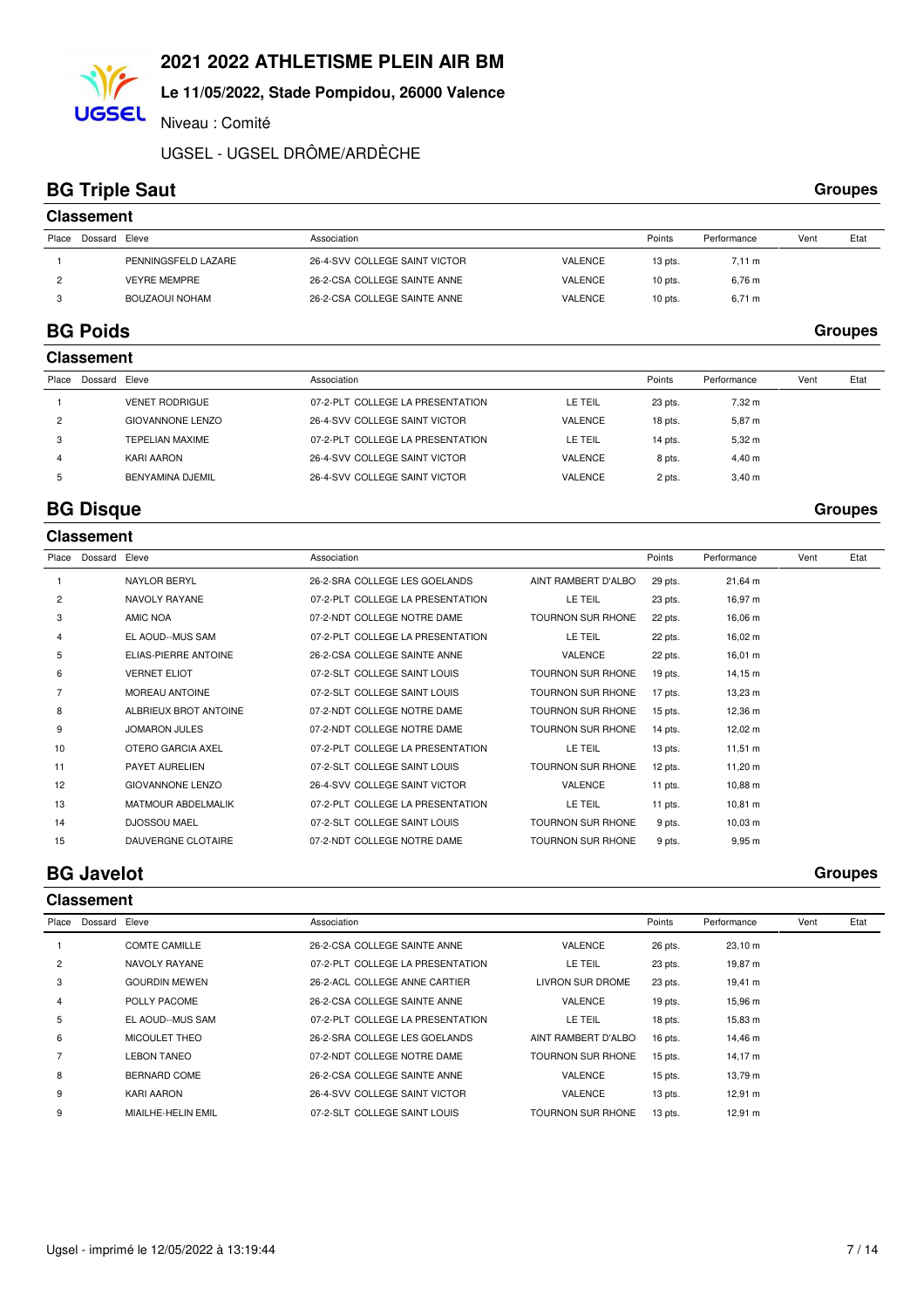## **Le 11/05/2022, Stade Pompidou, 26000 Valence**

Niveau : Comité

UGSEL - UGSEL DRÔME/ARDÈCHE

## **BG Triple Saut** Groupes

**UGSEL** 

|       | <b>Classement</b> |                     |                               |                |           |             |      |      |  |  |
|-------|-------------------|---------------------|-------------------------------|----------------|-----------|-------------|------|------|--|--|
| Place | Dossard Eleve     |                     | Association                   |                | Points    | Performance | Vent | Etat |  |  |
|       |                   | PENNINGSFELD LAZARE | 26-4-SVV COLLEGE SAINT VICTOR | VALENCE        | $13$ pts. | 7.11 m      |      |      |  |  |
|       |                   | <b>VEYRE MEMPRE</b> | 26-2-CSA COLLEGE SAINTE ANNE  | VALENCE        | $10$ pts. | 6.76 m      |      |      |  |  |
|       |                   | BOUZAOUI NOHAM      | 26-2-CSA COLLEGE SAINTE ANNE  | <b>VALENCE</b> | $10$ pts. | $6,71 \; m$ |      |      |  |  |

## **BG Poids Groupes**

|                | <b>Classement</b> |                         |                                  |                |         |                  |      |      |  |  |  |
|----------------|-------------------|-------------------------|----------------------------------|----------------|---------|------------------|------|------|--|--|--|
| Place          | Dossard Eleve     |                         | Association                      |                | Points  | Performance      | Vent | Etat |  |  |  |
|                |                   | <b>VENET RODRIGUE</b>   | 07-2-PLT COLLEGE LA PRESENTATION | LE TEIL        | 23 pts. | $7.32 \text{ m}$ |      |      |  |  |  |
| $\overline{c}$ |                   | <b>GIOVANNONE LENZO</b> | 26-4-SVV COLLEGE SAINT VICTOR    | <b>VALENCE</b> | 18 pts. | 5,87 m           |      |      |  |  |  |
| 3              |                   | TEPELIAN MAXIME         | 07-2-PLT COLLEGE LA PRESENTATION | LE TEIL        | 14 pts. | $5,32 \; m$      |      |      |  |  |  |
| 4              |                   | KARI AARON              | 26-4-SVV COLLEGE SAINT VICTOR    | <b>VALENCE</b> | 8 pts.  | $4,40 \; m$      |      |      |  |  |  |
| 5              |                   | BENYAMINA DJEMIL        | 26-4-SVV COLLEGE SAINT VICTOR    | <b>VALENCE</b> | 2 pts.  | $3,40 \; m$      |      |      |  |  |  |
|                |                   |                         |                                  |                |         |                  |      |      |  |  |  |

## **BG Disque** Groupes

|                | <b>Classement</b> |                              |                                  |                          |           |                     |      |      |
|----------------|-------------------|------------------------------|----------------------------------|--------------------------|-----------|---------------------|------|------|
| Place          | Dossard Eleve     |                              | Association                      |                          | Points    | Performance         | Vent | Etat |
|                |                   | <b>NAYLOR BERYL</b>          | 26-2-SRA COLLEGE LES GOELANDS    | AINT RAMBERT D'ALBO      | 29 pts.   | 21,64 m             |      |      |
| 2              |                   | NAVOLY RAYANE                | 07-2-PLT COLLEGE LA PRESENTATION | LE TEIL                  | 23 pts.   | 16,97 m             |      |      |
| 3              |                   | AMIC NOA                     | 07-2-NDT COLLEGE NOTRE DAME      | TOURNON SUR RHONE        | 22 pts.   | 16,06 m             |      |      |
| 4              |                   | EL AOUD--MUS SAM             | 07-2-PLT COLLEGE LA PRESENTATION | LE TEIL                  | 22 pts.   | 16,02 m             |      |      |
| 5              |                   | <b>ELIAS-PIERRE ANTOINE</b>  | 26-2-CSA COLLEGE SAINTE ANNE     | <b>VALENCE</b>           | 22 pts.   | $16,01 \; m$        |      |      |
| 6              |                   | <b>VERNET ELIOT</b>          | 07-2-SLT COLLEGE SAINT LOUIS     | <b>TOURNON SUR RHONE</b> | 19 pts.   | 14,15 m             |      |      |
| $\overline{7}$ |                   | <b>MOREAU ANTOINE</b>        | 07-2-SLT COLLEGE SAINT LOUIS     | <b>TOURNON SUR RHONE</b> | 17 pts.   | 13,23 m             |      |      |
| 8              |                   | <b>ALBRIEUX BROT ANTOINE</b> | 07-2-NDT COLLEGE NOTRE DAME      | <b>TOURNON SUR RHONE</b> | $15$ pts. | 12,36 m             |      |      |
| 9              |                   | <b>JOMARON JULES</b>         | 07-2-NDT COLLEGE NOTRE DAME      | TOURNON SUR RHONE        | 14 pts.   | 12,02 m             |      |      |
| 10             |                   | <b>OTERO GARCIA AXEL</b>     | 07-2-PLT COLLEGE LA PRESENTATION | LE TEIL                  | $13$ pts. | $11,51 \text{ m}$   |      |      |
| 11             |                   | PAYET AURELIEN               | 07-2-SLT COLLEGE SAINT LOUIS     | <b>TOURNON SUR RHONE</b> | 12 pts.   | 11,20 m             |      |      |
| 12             |                   | <b>GIOVANNONE LENZO</b>      | 26-4-SVV COLLEGE SAINT VICTOR    | VALENCE                  | 11 pts.   | 10,88 m             |      |      |
| 13             |                   | <b>MATMOUR ABDELMALIK</b>    | 07-2-PLT COLLEGE LA PRESENTATION | LE TEIL                  | 11 pts.   | $10,81 \; \text{m}$ |      |      |
| 14             |                   | <b>DJOSSOU MAEL</b>          | 07-2-SLT COLLEGE SAINT LOUIS     | <b>TOURNON SUR RHONE</b> | 9 pts.    | $10,03 \; m$        |      |      |
| 15             |                   | <b>DAUVERGNE CLOTAIRE</b>    | 07-2-NDT COLLEGE NOTRE DAME      | <b>TOURNON SUR RHONE</b> | 9 pts.    | 9,95 m              |      |      |

## **BG Javelot** Groupes

|                |         | <b>Classement</b>    |                                  |                          |           |              |      |      |  |  |  |  |
|----------------|---------|----------------------|----------------------------------|--------------------------|-----------|--------------|------|------|--|--|--|--|
| Place          | Dossard | Eleve                | Association                      |                          | Points    | Performance  | Vent | Etat |  |  |  |  |
|                |         | <b>COMTE CAMILLE</b> | 26-2-CSA COLLEGE SAINTE ANNE     | VALENCE                  | 26 pts.   | 23,10 m      |      |      |  |  |  |  |
| $\overline{2}$ |         | NAVOLY RAYANE        | 07-2-PLT COLLEGE LA PRESENTATION | LE TEIL                  | 23 pts.   | 19,87 m      |      |      |  |  |  |  |
| 3              |         | <b>GOURDIN MEWEN</b> | 26-2-ACL COLLEGE ANNE CARTIER    | <b>LIVRON SUR DROME</b>  | 23 pts.   | 19,41 m      |      |      |  |  |  |  |
| 4              |         | POLLY PACOME         | 26-2-CSA COLLEGE SAINTE ANNE     | <b>VALENCE</b>           | $19$ pts. | 15,96 m      |      |      |  |  |  |  |
| 5              |         | EL AOUD--MUS SAM     | 07-2-PLT COLLEGE LA PRESENTATION | LE TEIL                  | 18 pts.   | 15,83 m      |      |      |  |  |  |  |
| 6              |         | MICOULET THEO        | 26-2-SRA COLLEGE LES GOELANDS    | AINT RAMBERT D'ALBOI     | 16 pts.   | 14,46 m      |      |      |  |  |  |  |
|                |         | <b>LEBON TANEO</b>   | 07-2-NDT COLLEGE NOTRE DAME      | <b>TOURNON SUR RHONE</b> | 15 pts.   | $14,17 \; m$ |      |      |  |  |  |  |
| 8              |         | BERNARD COME         | 26-2-CSA COLLEGE SAINTE ANNE     | <b>VALENCE</b>           | $15$ pts. | 13,79 m      |      |      |  |  |  |  |
| 9              |         | KARI AARON           | 26-4-SVV COLLEGE SAINT VICTOR    | <b>VALENCE</b>           | 13 pts.   | 12,91 m      |      |      |  |  |  |  |
| 9              |         | MIAILHE-HELIN EMIL   | 07-2-SLT COLLEGE SAINT LOUIS     | <b>TOURNON SUR RHONE</b> | 13 pts.   | 12,91 m      |      |      |  |  |  |  |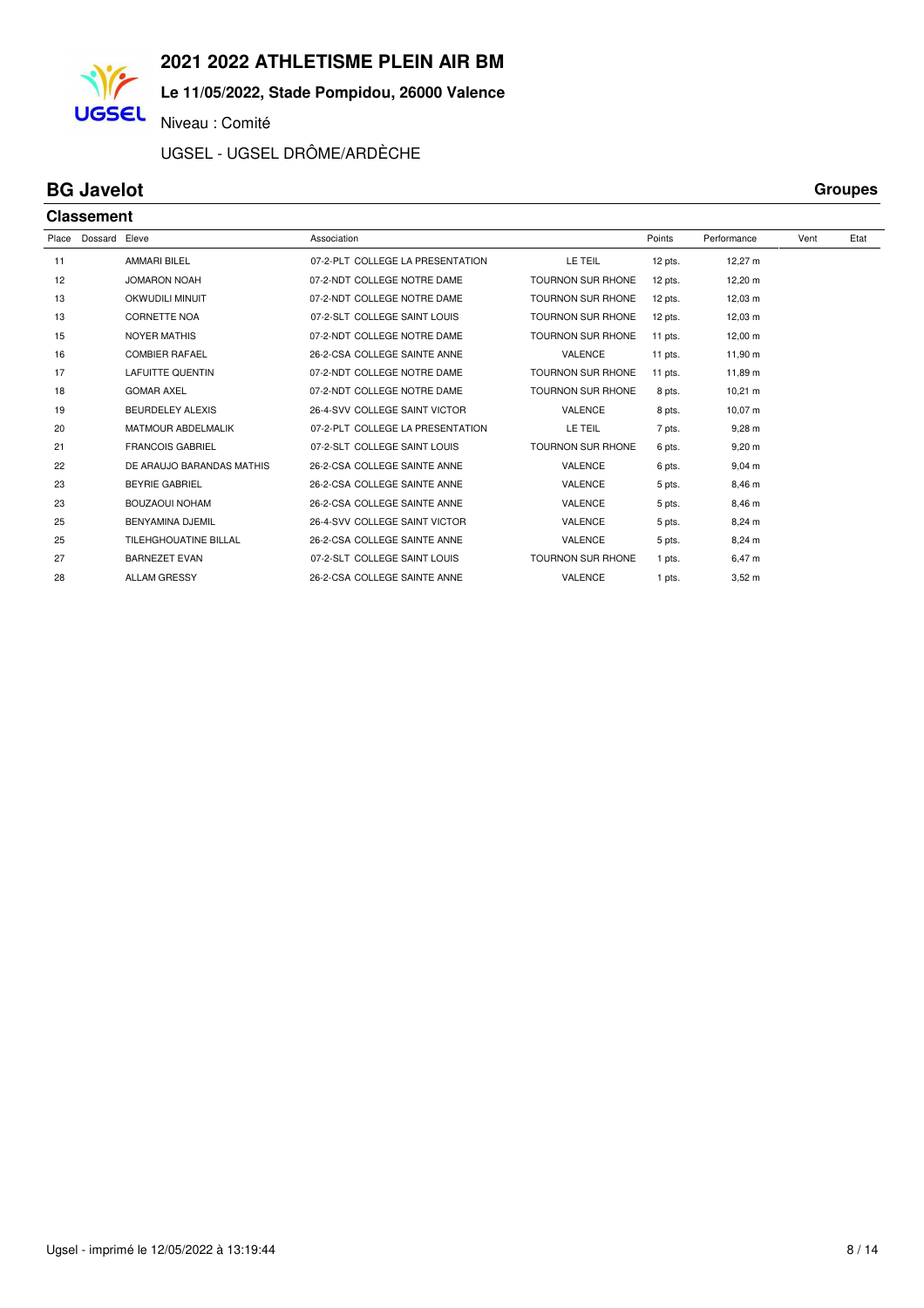## **Le 11/05/2022, Stade Pompidou, 26000 Valence**

Niveau : Comité

UGSEL - UGSEL DRÔME/ARDÈCHE

## **BG Javelot** Groupes

**UGSEL** 

|       | <b>Classement</b> |                           |                                  |                          |           |                     |      |      |  |  |
|-------|-------------------|---------------------------|----------------------------------|--------------------------|-----------|---------------------|------|------|--|--|
| Place | Dossard           | Eleve                     | Association                      |                          | Points    | Performance         | Vent | Etat |  |  |
| 11    |                   | <b>AMMARI BILEL</b>       | 07-2-PLT COLLEGE LA PRESENTATION | LE TEIL                  | $12$ pts. | 12,27 m             |      |      |  |  |
| 12    |                   | <b>JOMARON NOAH</b>       | 07-2-NDT COLLEGE NOTRE DAME      | <b>TOURNON SUR RHONE</b> | 12 pts.   | 12,20 m             |      |      |  |  |
| 13    |                   | <b>OKWUDILI MINUIT</b>    | 07-2-NDT COLLEGE NOTRE DAME      | <b>TOURNON SUR RHONE</b> | 12 pts.   | 12,03 m             |      |      |  |  |
| 13    |                   | <b>CORNETTE NOA</b>       | 07-2-SLT COLLEGE SAINT LOUIS     | <b>TOURNON SUR RHONE</b> | $12$ pts. | $12,03 \; \text{m}$ |      |      |  |  |
| 15    |                   | <b>NOYER MATHIS</b>       | 07-2-NDT COLLEGE NOTRE DAME      | <b>TOURNON SUR RHONE</b> | 11 pts.   | $12,00 \; m$        |      |      |  |  |
| 16    |                   | <b>COMBIER RAFAEL</b>     | 26-2-CSA COLLEGE SAINTE ANNE     | <b>VALENCE</b>           | $11$ pts. | 11,90 m             |      |      |  |  |
| 17    |                   | <b>LAFUITTE QUENTIN</b>   | 07-2-NDT COLLEGE NOTRE DAME      | <b>TOURNON SUR RHONE</b> | 11 pts.   | 11,89 m             |      |      |  |  |
| 18    |                   | <b>GOMAR AXEL</b>         | 07-2-NDT COLLEGE NOTRE DAME      | <b>TOURNON SUR RHONE</b> | 8 pts.    | $10,21 \; m$        |      |      |  |  |
| 19    |                   | <b>BEURDELEY ALEXIS</b>   | 26-4-SVV COLLEGE SAINT VICTOR    | <b>VALENCE</b>           | 8 pts.    | 10.07 m             |      |      |  |  |
| 20    |                   | <b>MATMOUR ABDELMALIK</b> | 07-2-PLT COLLEGE LA PRESENTATION | LE TEIL                  | 7 pts.    | $9,28 \; m$         |      |      |  |  |
| 21    |                   | <b>FRANCOIS GABRIEL</b>   | 07-2-SLT COLLEGE SAINT LOUIS     | <b>TOURNON SUR RHONE</b> | 6 pts.    | $9,20 \; m$         |      |      |  |  |
| 22    |                   | DE ARAUJO BARANDAS MATHIS | 26-2-CSA COLLEGE SAINTE ANNE     | VALENCE                  | 6 pts.    | $9,04 \, m$         |      |      |  |  |
| 23    |                   | <b>BEYRIE GABRIEL</b>     | 26-2-CSA COLLEGE SAINTE ANNE     | <b>VALENCE</b>           | 5 pts.    | 8,46 m              |      |      |  |  |
| 23    |                   | <b>BOUZAOUI NOHAM</b>     | 26-2-CSA COLLEGE SAINTE ANNE     | <b>VALENCE</b>           | 5 pts.    | 8,46 m              |      |      |  |  |
| 25    |                   | <b>BENYAMINA DJEMIL</b>   | 26-4-SVV COLLEGE SAINT VICTOR    | <b>VALENCE</b>           | 5 pts.    | $8,24 \, m$         |      |      |  |  |
| 25    |                   | TILEHGHOUATINE BILLAL     | 26-2-CSA COLLEGE SAINTE ANNE     | VALENCE                  | 5 pts.    | 8,24 m              |      |      |  |  |
| 27    |                   | <b>BARNEZET EVAN</b>      | 07-2-SLT COLLEGE SAINT LOUIS     | <b>TOURNON SUR RHONE</b> | 1 pts.    | 6,47 m              |      |      |  |  |
| 28    |                   | <b>ALLAM GRESSY</b>       | 26-2-CSA COLLEGE SAINTE ANNE     | <b>VALENCE</b>           | 1 pts.    | $3,52 \; m$         |      |      |  |  |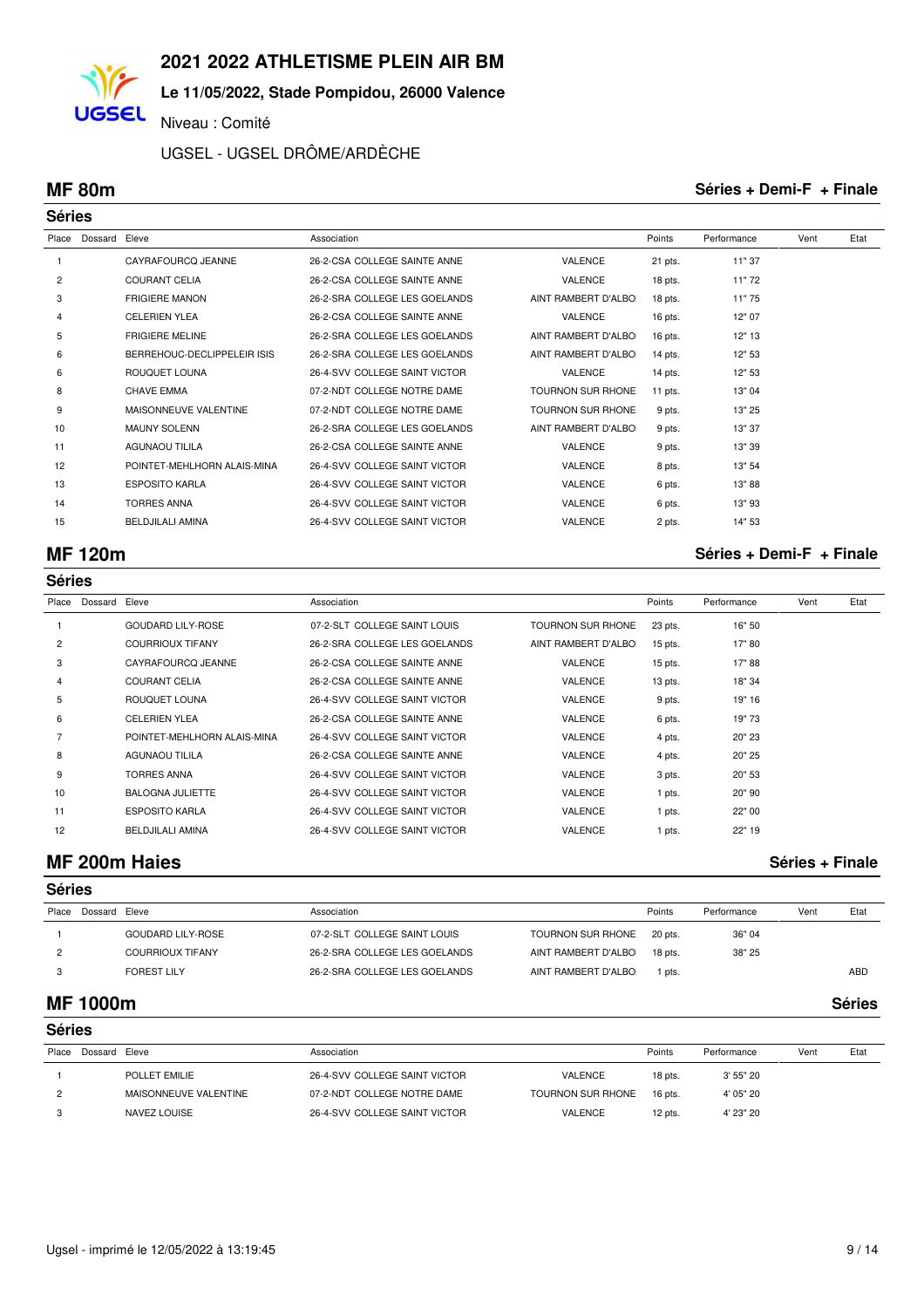**Le 11/05/2022, Stade Pompidou, 26000 Valence**

Niveau : Comité

UGSEL - UGSEL DRÔME/ARDÈCHE

**UGSEL** 

#### **MF 80m Séries + Demi-F + Finale**

| <b>Séries</b> |               |                             |                               |                          |           |             |      |      |
|---------------|---------------|-----------------------------|-------------------------------|--------------------------|-----------|-------------|------|------|
| Place         | Dossard Eleve |                             | Association                   |                          | Points    | Performance | Vent | Etat |
|               |               | CAYRAFOURCQ JEANNE          | 26-2-CSA COLLEGE SAINTE ANNE  | <b>VALENCE</b>           | 21 pts.   | 11" 37      |      |      |
| 2             |               | <b>COURANT CELIA</b>        | 26-2-CSA COLLEGE SAINTE ANNE  | <b>VALENCE</b>           | 18 pts.   | 11"72       |      |      |
| 3             |               | <b>FRIGIERE MANON</b>       | 26-2-SRA COLLEGE LES GOELANDS | AINT RAMBERT D'ALBO      | 18 pts.   | 11"75       |      |      |
| 4             |               | <b>CELERIEN YLEA</b>        | 26-2-CSA COLLEGE SAINTE ANNE  | <b>VALENCE</b>           | 16 pts.   | 12" 07      |      |      |
| 5             |               | <b>FRIGIERE MELINE</b>      | 26-2-SRA COLLEGE LES GOELANDS | AINT RAMBERT D'ALBO      | 16 pts.   | 12" 13      |      |      |
| 6             |               | BERREHOUC-DECLIPPELEIR ISIS | 26-2-SRA COLLEGE LES GOELANDS | AINT RAMBERT D'ALBO      | $14$ pts. | 12" 53      |      |      |
| 6             |               | <b>ROUQUET LOUNA</b>        | 26-4-SVV COLLEGE SAINT VICTOR | <b>VALENCE</b>           | 14 pts.   | 12" 53      |      |      |
| 8             |               | <b>CHAVE EMMA</b>           | 07-2-NDT COLLEGE NOTRE DAME   | <b>TOURNON SUR RHONE</b> | 11 pts.   | 13" 04      |      |      |
| 9             |               | MAISONNEUVE VALENTINE       | 07-2-NDT COLLEGE NOTRE DAME   | <b>TOURNON SUR RHONE</b> | 9 pts.    | 13" 25      |      |      |
| 10            |               | <b>MAUNY SOLENN</b>         | 26-2-SRA COLLEGE LES GOELANDS | AINT RAMBERT D'ALBO      | 9 pts.    | 13" 37      |      |      |
| 11            |               | <b>AGUNAOU TILILA</b>       | 26-2-CSA COLLEGE SAINTE ANNE  | <b>VALENCE</b>           | 9 pts.    | 13" 39      |      |      |
| 12            |               | POINTET-MEHLHORN ALAIS-MINA | 26-4-SVV COLLEGE SAINT VICTOR | <b>VALENCE</b>           | 8 pts.    | 13" 54      |      |      |
| 13            |               | <b>ESPOSITO KARLA</b>       | 26-4-SVV COLLEGE SAINT VICTOR | <b>VALENCE</b>           | 6 pts.    | 13"88       |      |      |
| 14            |               | <b>TORRES ANNA</b>          | 26-4-SVV COLLEGE SAINT VICTOR | <b>VALENCE</b>           | 6 pts.    | 13" 93      |      |      |
| 15            |               | <b>BELDJILALI AMINA</b>     | 26-4-SVV COLLEGE SAINT VICTOR | <b>VALENCE</b>           | 2 pts.    | 14" 53      |      |      |

## **MF 120m Séries + Demi-F + Finale**

|                |         |                             |                               | <b>Séries</b>            |           |             |      |      |  |  |  |  |  |  |  |
|----------------|---------|-----------------------------|-------------------------------|--------------------------|-----------|-------------|------|------|--|--|--|--|--|--|--|
| Place          | Dossard | Eleve                       | Association                   |                          | Points    | Performance | Vent | Etat |  |  |  |  |  |  |  |
|                |         | <b>GOUDARD LILY-ROSE</b>    | 07-2-SLT COLLEGE SAINT LOUIS  | <b>TOURNON SUR RHONE</b> | 23 pts.   | 16" 50      |      |      |  |  |  |  |  |  |  |
| $\overline{2}$ |         | <b>COURRIOUX TIFANY</b>     | 26-2-SRA COLLEGE LES GOELANDS | AINT RAMBERT D'ALBO      | $15$ pts. | 17" 80      |      |      |  |  |  |  |  |  |  |
| 3              |         | CAYRAFOURCQ JEANNE          | 26-2-CSA COLLEGE SAINTE ANNE  | VALENCE                  | $15$ pts. | 17"88       |      |      |  |  |  |  |  |  |  |
| 4              |         | <b>COURANT CELIA</b>        | 26-2-CSA COLLEGE SAINTE ANNE  | <b>VALENCE</b>           | $13$ pts. | 18" 34      |      |      |  |  |  |  |  |  |  |
| 5              |         | ROUQUET LOUNA               | 26-4-SVV COLLEGE SAINT VICTOR | <b>VALENCE</b>           | 9 pts.    | 19" 16      |      |      |  |  |  |  |  |  |  |
| 6              |         | <b>CELERIEN YLEA</b>        | 26-2-CSA COLLEGE SAINTE ANNE  | <b>VALENCE</b>           | 6 pts.    | 19"73       |      |      |  |  |  |  |  |  |  |
|                |         | POINTET-MEHLHORN ALAIS-MINA | 26-4-SVV COLLEGE SAINT VICTOR | <b>VALENCE</b>           | 4 pts.    | 20" 23      |      |      |  |  |  |  |  |  |  |
| 8              |         | AGUNAOU TILILA              | 26-2-CSA COLLEGE SAINTE ANNE  | <b>VALENCE</b>           | 4 pts.    | 20" 25      |      |      |  |  |  |  |  |  |  |
| 9              |         | <b>TORRES ANNA</b>          | 26-4-SVV COLLEGE SAINT VICTOR | VALENCE                  | 3 pts.    | 20" 53      |      |      |  |  |  |  |  |  |  |
| 10             |         | <b>BALOGNA JULIETTE</b>     | 26-4-SVV COLLEGE SAINT VICTOR | <b>VALENCE</b>           | 1 pts.    | 20"90       |      |      |  |  |  |  |  |  |  |
| 11             |         | <b>ESPOSITO KARLA</b>       | 26-4-SVV COLLEGE SAINT VICTOR | <b>VALENCE</b>           | 1 pts.    | 22" 00      |      |      |  |  |  |  |  |  |  |
| 12             |         | <b>BELDJILALI AMINA</b>     | 26-4-SVV COLLEGE SAINT VICTOR | <b>VALENCE</b>           | 1 pts.    | 22" 19      |      |      |  |  |  |  |  |  |  |

## **MF 200m Haies Séries + Finale**

| <b>Séries</b> |               |                          |                               |                      |         |             |      |            |  |  |
|---------------|---------------|--------------------------|-------------------------------|----------------------|---------|-------------|------|------------|--|--|
| Place         | Dossard Eleve |                          | Association                   |                      | Points  | Performance | Vent | Etat       |  |  |
|               |               | <b>GOUDARD LILY-ROSE</b> | 07-2-SLT COLLEGE SAINT LOUIS  | TOURNON SUR RHONE    | 20 pts. | 36" 04      |      |            |  |  |
|               |               | <b>COURRIOUX TIFANY</b>  | 26-2-SRA COLLEGE LES GOELANDS | AINT RAMBERT D'ALBO  | 18 pts. | 38" 25      |      |            |  |  |
|               |               | <b>FOREST LILY</b>       | 26-2-SRA COLLEGE LES GOELANDS | AINT RAMBERT D'ALBOI | pts.    |             |      | <b>ABD</b> |  |  |

#### **MF 1000m Séries**

|       | <b>Séries</b> |                       |                               |                   |           |             |      |      |  |  |  |  |
|-------|---------------|-----------------------|-------------------------------|-------------------|-----------|-------------|------|------|--|--|--|--|
| Place | Dossard Eleve |                       | Association                   |                   | Points    | Performance | Vent | Etat |  |  |  |  |
|       |               | POLLET EMILIE         | 26-4-SVV COLLEGE SAINT VICTOR | VALENCE           | 18 pts.   | 3'55"20     |      |      |  |  |  |  |
|       |               | MAISONNEUVE VALENTINE | 07-2-NDT COLLEGE NOTRE DAME   | TOURNON SUR RHONE | $16$ pts. | 4' 05" 20   |      |      |  |  |  |  |
|       |               | <b>NAVEZ LOUISE</b>   | 26-4-SVV COLLEGE SAINT VICTOR | <b>VALENCE</b>    | 12 pts.   | 4' 23" 20   |      |      |  |  |  |  |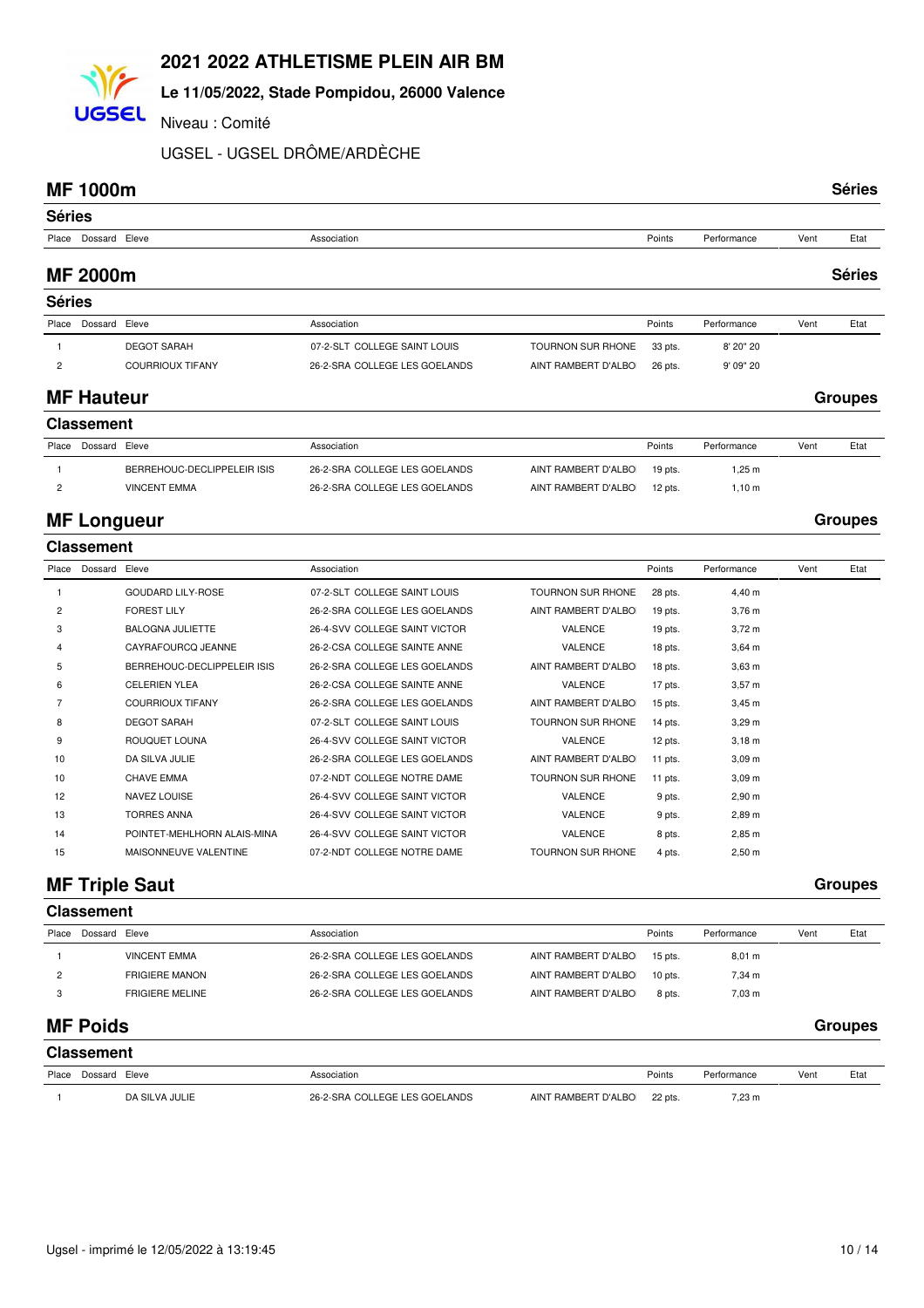## **Le 11/05/2022, Stade Pompidou, 26000 Valence**

Niveau : Comité

UGSEL - UGSEL DRÔME/ARDÈCHE

### **MF 1000m Séries**

**UGSEL** 

| <b>Séries</b>  |                   |                             |                               |                      |         |             |      |                |
|----------------|-------------------|-----------------------------|-------------------------------|----------------------|---------|-------------|------|----------------|
| Place          | Dossard Eleve     |                             | Association                   |                      | Points  | Performance | Vent | Etat           |
|                | <b>MF 2000m</b>   |                             |                               |                      |         |             |      | <b>Séries</b>  |
| <b>Séries</b>  |                   |                             |                               |                      |         |             |      |                |
| Place          | Dossard           | Eleve                       | Association                   |                      | Points  | Performance | Vent | Etat           |
|                |                   | <b>DEGOT SARAH</b>          | 07-2-SLT COLLEGE SAINT LOUIS  | TOURNON SUR RHONE    | 33 pts. | 8' 20" 20   |      |                |
| $\overline{c}$ |                   | <b>COURRIOUX TIFANY</b>     | 26-2-SRA COLLEGE LES GOELANDS | AINT RAMBERT D'ALBO  | 26 pts. | 9' 09" 20   |      |                |
|                | <b>MF Hauteur</b> |                             |                               |                      |         |             |      | <b>Groupes</b> |
|                | <b>Classement</b> |                             |                               |                      |         |             |      |                |
| Place          | Dossard           | Eleve                       | Association                   |                      | Points  | Performance | Vent | Etat           |
|                |                   | BERREHOUC-DECLIPPELEIR ISIS | 26-2-SRA COLLEGE LES GOELANDS | AINT RAMBERT D'ALBOI | 19 pts. | $1,25 \; m$ |      |                |
| 2              |                   | <b>VINCENT EMMA</b>         | 26-2-SRA COLLEGE LES GOELANDS | AINT RAMBERT D'ALBO  | 12 pts. | 1,10 m      |      |                |

### **MF Longueur Groupes**

| Place          | Dossard | Eleve                       | Association                   |                          | Points    | Performance        | Vent | Etat |
|----------------|---------|-----------------------------|-------------------------------|--------------------------|-----------|--------------------|------|------|
|                |         | <b>GOUDARD LILY-ROSE</b>    | 07-2-SLT COLLEGE SAINT LOUIS  | <b>TOURNON SUR RHONE</b> | 28 pts.   | 4,40 m             |      |      |
| $\overline{2}$ |         | <b>FOREST LILY</b>          | 26-2-SRA COLLEGE LES GOELANDS | AINT RAMBERT D'ALBO      | $19$ pts. | $3,76 \; m$        |      |      |
| 3              |         | BALOGNA JULIETTE            | 26-4-SVV COLLEGE SAINT VICTOR | <b>VALENCE</b>           | 19 pts.   | $3,72 \, \text{m}$ |      |      |
| 4              |         | CAYRAFOURCQ JEANNE          | 26-2-CSA COLLEGE SAINTE ANNE  | <b>VALENCE</b>           | 18 pts.   | $3,64 \, \text{m}$ |      |      |
| 5              |         | BERREHOUC-DECLIPPELEIR ISIS | 26-2-SRA COLLEGE LES GOELANDS | AINT RAMBERT D'ALBO      | 18 pts.   | $3,63 \text{ m}$   |      |      |
| 6              |         | <b>CELERIEN YLEA</b>        | 26-2-CSA COLLEGE SAINTE ANNE  | <b>VALENCE</b>           | 17 pts.   | $3,57 \; m$        |      |      |
| 7              |         | <b>COURRIOUX TIFANY</b>     | 26-2-SRA COLLEGE LES GOELANDS | AINT RAMBERT D'ALBO      | $15$ pts. | $3,45 \; m$        |      |      |
| 8              |         | <b>DEGOT SARAH</b>          | 07-2-SLT COLLEGE SAINT LOUIS  | <b>TOURNON SUR RHONE</b> | 14 pts.   | $3,29 \; \text{m}$ |      |      |
| 9              |         | ROUQUET LOUNA               | 26-4-SVV COLLEGE SAINT VICTOR | <b>VALENCE</b>           | 12 pts.   | $3,18 \; m$        |      |      |
| 10             |         | DA SILVA JULIE              | 26-2-SRA COLLEGE LES GOELANDS | AINT RAMBERT D'ALBO      | $11$ pts. | $3,09 \; m$        |      |      |
| 10             |         | <b>CHAVE EMMA</b>           | 07-2-NDT COLLEGE NOTRE DAME   | <b>TOURNON SUR RHONE</b> | 11 pts.   | $3,09 \; m$        |      |      |
| 12             |         | NAVEZ LOUISE                | 26-4-SVV COLLEGE SAINT VICTOR | VALENCE                  | 9 pts.    | $2,90 \; \text{m}$ |      |      |
| 13             |         | <b>TORRES ANNA</b>          | 26-4-SVV COLLEGE SAINT VICTOR | <b>VALENCE</b>           | 9 pts.    | $2,89 \; \text{m}$ |      |      |
| 14             |         | POINTET-MEHLHORN ALAIS-MINA | 26-4-SVV COLLEGE SAINT VICTOR | VALENCE                  | 8 pts.    | $2,85 \; m$        |      |      |
| 15             |         | MAISONNEUVE VALENTINE       | 07-2-NDT COLLEGE NOTRE DAME   | <b>TOURNON SUR RHONE</b> | 4 pts.    | $2,50 \; \text{m}$ |      |      |

### **MF Triple Saut Groupes**

**Classement**

| <u>ai daba</u> |
|----------------|
|                |
|                |

| Place | Dossard Eleve |                        | Association                   |                     | Points    | Performance | Vent | Etat |
|-------|---------------|------------------------|-------------------------------|---------------------|-----------|-------------|------|------|
|       |               | <b>VINCENT EMMA</b>    | 26-2-SRA COLLEGE LES GOELANDS | AINT RAMBERT D'ALBO | $15$ pts. | $8,01 \; m$ |      |      |
|       |               | <b>FRIGIERE MANON</b>  | 26-2-SRA COLLEGE LES GOELANDS | AINT RAMBERT D'ALBO | $10$ pts. | 7,34 m      |      |      |
|       |               | <b>FRIGIERE MELINE</b> | 26-2-SRA COLLEGE LES GOELANDS | AINT RAMBERT D'ALBO | 8 pts.    | 7,03 m      |      |      |
|       |               |                        |                               |                     |           |             |      |      |

### **MF Poids Groupes**

| <b>Classement</b> |                     |                |                               |                     |         |             |      |      |  |  |
|-------------------|---------------------|----------------|-------------------------------|---------------------|---------|-------------|------|------|--|--|
|                   | Place Dossard Eleve |                | Association                   |                     | Points  | Performance | Vent | Etat |  |  |
|                   |                     | DA SILVA JULIE | 26-2-SRA COLLEGE LES GOELANDS | AINT RAMBERT D'ALBO | 22 pts. | 7,23 m      |      |      |  |  |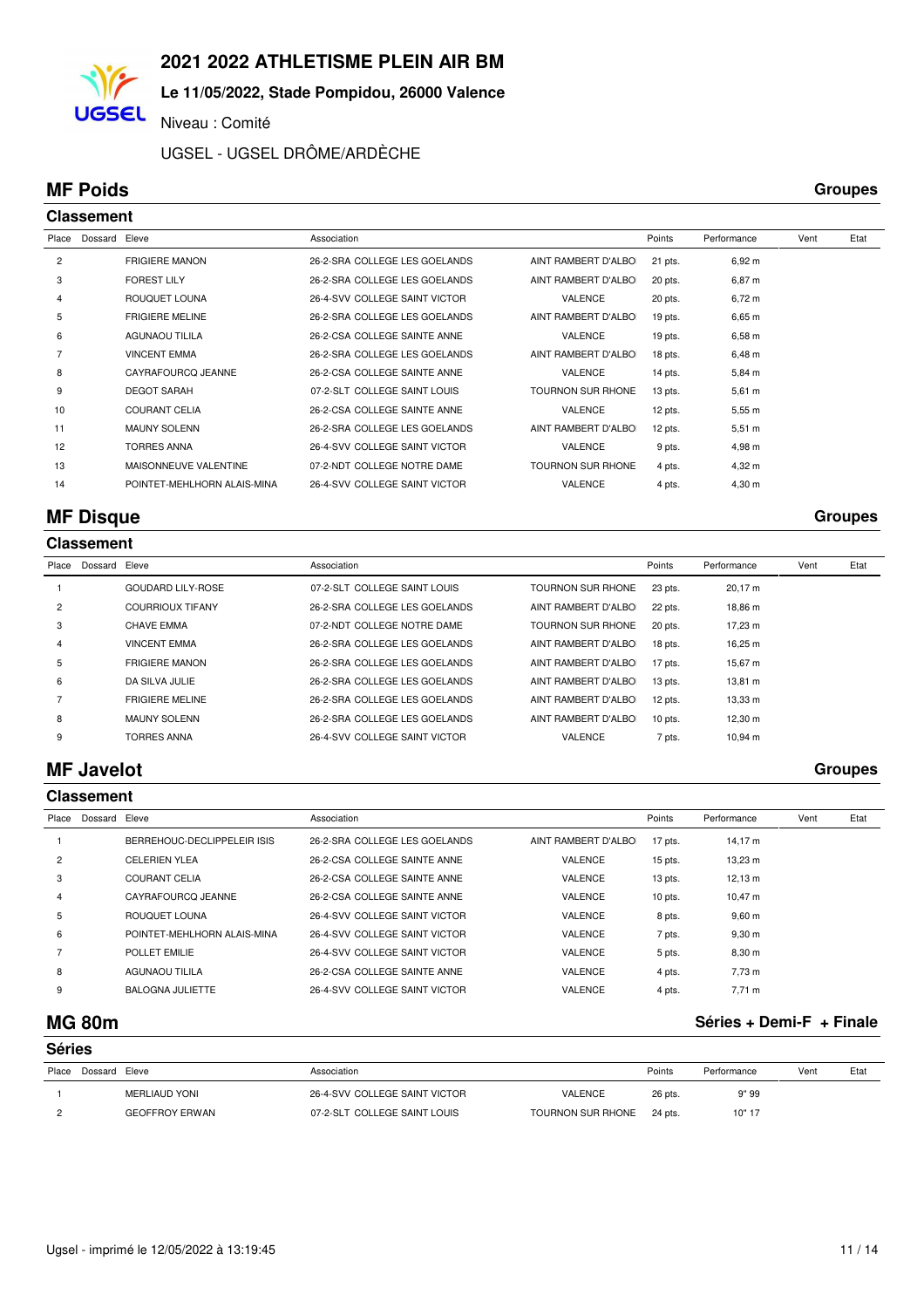### **Le 11/05/2022, Stade Pompidou, 26000 Valence**

Niveau : Comité

### UGSEL - UGSEL DRÔME/ARDÈCHE

## **MF Poids Groupes**

**UGSEL** 

|                | <b>Classement</b> |                             |                               |                          |           |                    |      |      |
|----------------|-------------------|-----------------------------|-------------------------------|--------------------------|-----------|--------------------|------|------|
| Place          | Dossard           | Eleve                       | Association                   |                          | Points    | Performance        | Vent | Etat |
| $\overline{c}$ |                   | <b>FRIGIERE MANON</b>       | 26-2-SRA COLLEGE LES GOELANDS | AINT RAMBERT D'ALBO      | 21 pts.   | 6,92 m             |      |      |
| 3              |                   | <b>FOREST LILY</b>          | 26-2-SRA COLLEGE LES GOELANDS | AINT RAMBERT D'ALBO      | 20 pts.   | $6,87 \; m$        |      |      |
| 4              |                   | ROUQUET LOUNA               | 26-4-SVV COLLEGE SAINT VICTOR | <b>VALENCE</b>           | 20 pts.   | $6,72 \; m$        |      |      |
| 5              |                   | <b>FRIGIERE MELINE</b>      | 26-2-SRA COLLEGE LES GOELANDS | AINT RAMBERT D'ALBO      | $19$ pts. | $6,65 \; m$        |      |      |
| 6              |                   | <b>AGUNAOU TILILA</b>       | 26-2-CSA COLLEGE SAINTE ANNE  | <b>VALENCE</b>           | $19$ pts. | $6,58 \; m$        |      |      |
|                |                   | <b>VINCENT EMMA</b>         | 26-2-SRA COLLEGE LES GOELANDS | AINT RAMBERT D'ALBO      | 18 pts.   | $6,48 \; m$        |      |      |
| 8              |                   | CAYRAFOURCQ JEANNE          | 26-2-CSA COLLEGE SAINTE ANNE  | <b>VALENCE</b>           | 14 pts.   | $5,84 \, m$        |      |      |
| 9              |                   | <b>DEGOT SARAH</b>          | 07-2-SLT COLLEGE SAINT LOUIS  | <b>TOURNON SUR RHONE</b> | $13$ pts. | $5,61 \; m$        |      |      |
| 10             |                   | <b>COURANT CELIA</b>        | 26-2-CSA COLLEGE SAINTE ANNE  | <b>VALENCE</b>           | 12 pts.   | 5,55 m             |      |      |
| 11             |                   | <b>MAUNY SOLENN</b>         | 26-2-SRA COLLEGE LES GOELANDS | AINT RAMBERT D'ALBO      | 12 pts.   | $5,51 \; m$        |      |      |
| 12             |                   | <b>TORRES ANNA</b>          | 26-4-SVV COLLEGE SAINT VICTOR | <b>VALENCE</b>           | 9 pts.    | 4,98 m             |      |      |
| 13             |                   | MAISONNEUVE VALENTINE       | 07-2-NDT COLLEGE NOTRE DAME   | <b>TOURNON SUR RHONE</b> | 4 pts.    | 4,32 m             |      |      |
| 14             |                   | POINTET-MEHLHORN ALAIS-MINA | 26-4-SVV COLLEGE SAINT VICTOR | <b>VALENCE</b>           | 4 pts.    | $4,30 \; \text{m}$ |      |      |

## **MF Disque Groupes**

#### **Classement**

| Place          | Dossard | Eleve                    | Association                   |                          | Points    | Performance | Vent | Etat |
|----------------|---------|--------------------------|-------------------------------|--------------------------|-----------|-------------|------|------|
|                |         | <b>GOUDARD LILY-ROSE</b> | 07-2-SLT COLLEGE SAINT LOUIS  | <b>TOURNON SUR RHONE</b> | 23 pts.   | 20.17 m     |      |      |
| $\overline{2}$ |         | <b>COURRIOUX TIFANY</b>  | 26-2-SRA COLLEGE LES GOELANDS | AINT RAMBERT D'ALBO      | 22 pts.   | 18.86 m     |      |      |
| 3              |         | CHAVE EMMA               | 07-2-NDT COLLEGE NOTRE DAME   | <b>TOURNON SUR RHONE</b> | 20 pts.   | 17.23 m     |      |      |
| 4              |         | <b>VINCENT EMMA</b>      | 26-2-SRA COLLEGE LES GOELANDS | AINT RAMBERT D'ALBO      | $18$ pts. | 16.25 m     |      |      |
| 5              |         | <b>FRIGIERE MANON</b>    | 26-2-SRA COLLEGE LES GOELANDS | AINT RAMBERT D'ALBO      | 17 pts.   | 15,67 m     |      |      |
| 6              |         | DA SILVA JULIE           | 26-2-SRA COLLEGE LES GOELANDS | AINT RAMBERT D'ALBO      | $13$ pts. | 13.81 m     |      |      |
|                |         | <b>FRIGIERE MELINE</b>   | 26-2-SRA COLLEGE LES GOELANDS | AINT RAMBERT D'ALBO      | 12 pts.   | 13,33 m     |      |      |
| 8              |         | <b>MAUNY SOLENN</b>      | 26-2-SRA COLLEGE LES GOELANDS | AINT RAMBERT D'ALBO      | $10$ pts. | 12,30 m     |      |      |
| 9              |         | <b>TORRES ANNA</b>       | 26-4-SVV COLLEGE SAINT VICTOR | <b>VALENCE</b>           | 7 pts.    | 10.94 m     |      |      |
|                |         |                          |                               |                          |           |             |      |      |

### **MF Javelot Groupes**

|                | <b>Classement</b> |                             |                               |                     |           |                     |      |      |  |  |  |
|----------------|-------------------|-----------------------------|-------------------------------|---------------------|-----------|---------------------|------|------|--|--|--|
| Place          | Dossard Eleve     |                             | Association                   |                     | Points    | Performance         | Vent | Etat |  |  |  |
|                |                   | BERREHOUC-DECLIPPELEIR ISIS | 26-2-SRA COLLEGE LES GOELANDS | AINT RAMBERT D'ALBO | 17 pts.   | 14,17 m             |      |      |  |  |  |
| $\overline{2}$ |                   | <b>CELERIEN YLEA</b>        | 26-2-CSA COLLEGE SAINTE ANNE  | <b>VALENCE</b>      | $15$ pts. | 13,23 m             |      |      |  |  |  |
| 3              |                   | <b>COURANT CELIA</b>        | 26-2-CSA COLLEGE SAINTE ANNE  | <b>VALENCE</b>      | $13$ pts. | $12,13 \; m$        |      |      |  |  |  |
| 4              |                   | CAYRAFOURCO JEANNE          | 26-2-CSA COLLEGE SAINTE ANNE  | <b>VALENCE</b>      | $10$ pts. | $10,47 \; \text{m}$ |      |      |  |  |  |
| 5              |                   | ROUQUET LOUNA               | 26-4-SVV COLLEGE SAINT VICTOR | <b>VALENCE</b>      | 8 pts.    | $9,60 \; m$         |      |      |  |  |  |
| 6              |                   | POINTET-MEHLHORN ALAIS-MINA | 26-4-SVV COLLEGE SAINT VICTOR | <b>VALENCE</b>      | 7 pts.    | $9,30 \text{ m}$    |      |      |  |  |  |
|                |                   | POLLET EMILIE               | 26-4-SVV COLLEGE SAINT VICTOR | <b>VALENCE</b>      | 5 pts.    | 8,30 m              |      |      |  |  |  |
| 8              |                   | <b>AGUNAOU TILILA</b>       | 26-2-CSA COLLEGE SAINTE ANNE  | <b>VALENCE</b>      | 4 pts.    | 7,73 m              |      |      |  |  |  |
| 9              |                   | <b>BALOGNA JULIETTE</b>     | 26-4-SVV COLLEGE SAINT VICTOR | <b>VALENCE</b>      | 4 pts.    | 7,71 m              |      |      |  |  |  |

## **MG 80m Séries + Demi-F + Finale**

|       | <b>Séries</b> |                       |                               |                   |         |             |      |      |  |  |  |
|-------|---------------|-----------------------|-------------------------------|-------------------|---------|-------------|------|------|--|--|--|
| Place | Dossard Eleve |                       | Association                   |                   | Points  | Performance | Vent | Etat |  |  |  |
|       |               | MERLIAUD YONI         | 26-4-SVV COLLEGE SAINT VICTOR | VALENCE           | 26 pts. | 9" 99       |      |      |  |  |  |
|       |               | <b>GEOFFROY ERWAN</b> | 07-2-SLT COLLEGE SAINT LOUIS  | TOURNON SUR RHONE | 24 pts. | 10" 17      |      |      |  |  |  |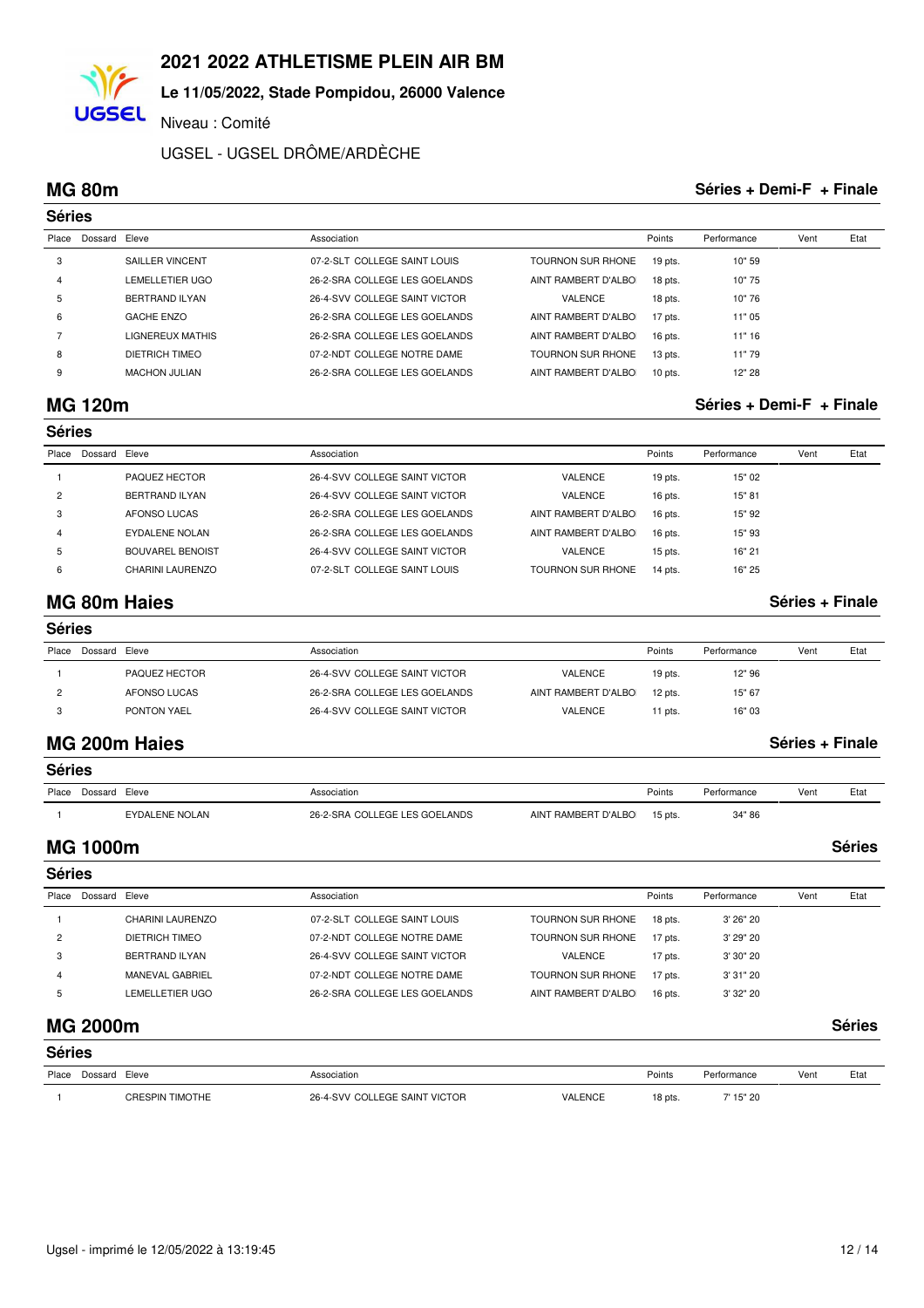#### **Le 11/05/2022, Stade Pompidou, 26000 Valence**

Niveau : Comité

UGSEL - UGSEL DRÔME/ARDÈCHE

**UGSEL** 

#### **MG 80m Séries + Demi-F + Finale**

|       | <b>Séries</b> |                        |                               |                          |           |             |      |      |  |  |
|-------|---------------|------------------------|-------------------------------|--------------------------|-----------|-------------|------|------|--|--|
| Place | Dossard Eleve |                        | Association                   |                          | Points    | Performance | Vent | Etat |  |  |
| 3     |               | SAILLER VINCENT        | 07-2-SLT COLLEGE SAINT LOUIS  | <b>TOURNON SUR RHONE</b> | $19$ pts. | 10" 59      |      |      |  |  |
| 4     |               | <b>LEMELLETIER UGO</b> | 26-2-SRA COLLEGE LES GOELANDS | AINT RAMBERT D'ALBO      | 18 pts.   | 10"75       |      |      |  |  |
| 5     |               | BERTRAND ILYAN         | 26-4-SVV COLLEGE SAINT VICTOR | VALENCE                  | 18 pts.   | 10"76       |      |      |  |  |
| 6     |               | <b>GACHE ENZO</b>      | 26-2-SRA COLLEGE LES GOELANDS | AINT RAMBERT D'ALBOI     | 17 pts.   | 11"05       |      |      |  |  |
|       |               | LIGNEREUX MATHIS       | 26-2-SRA COLLEGE LES GOELANDS | AINT RAMBERT D'ALBOI     | 16 pts.   | 11" 16      |      |      |  |  |
| 8     |               | DIETRICH TIMEO         | 07-2-NDT COLLEGE NOTRE DAME   | <b>TOURNON SUR RHONE</b> | $13$ pts. | 11"79       |      |      |  |  |
| 9     |               | <b>MACHON JULIAN</b>   | 26-2-SRA COLLEGE LES GOELANDS | AINT RAMBERT D'ALBO      | $10$ pts. | 12" 28      |      |      |  |  |

## **MG 120m Séries + Demi-F + Finale**

|       | <b>Séries</b> |                         |                               |                          |           |             |      |      |  |  |
|-------|---------------|-------------------------|-------------------------------|--------------------------|-----------|-------------|------|------|--|--|
| Place | Dossard Eleve |                         | Association                   |                          | Points    | Performance | Vent | Etat |  |  |
|       |               | PAQUEZ HECTOR           | 26-4-SVV COLLEGE SAINT VICTOR | VALENCE                  | $19$ pts. | 15" 02      |      |      |  |  |
| 2     |               | BERTRAND ILYAN          | 26-4-SVV COLLEGE SAINT VICTOR | <b>VALENCE</b>           | 16 pts.   | 15" 81      |      |      |  |  |
| 3     |               | AFONSO LUCAS            | 26-2-SRA COLLEGE LES GOELANDS | AINT RAMBERT D'ALBOI     | $16$ pts. | 15" 92      |      |      |  |  |
| 4     |               | EYDALENE NOLAN          | 26-2-SRA COLLEGE LES GOELANDS | AINT RAMBERT D'ALBOI     | 16 pts.   | 15" 93      |      |      |  |  |
| 5     |               | <b>BOUVAREL BENOIST</b> | 26-4-SVV COLLEGE SAINT VICTOR | <b>VALENCE</b>           | $15$ pts. | 16" 21      |      |      |  |  |
| 6     |               | <b>CHARINI LAURENZO</b> | 07-2-SLT COLLEGE SAINT LOUIS  | <b>TOURNON SUR RHONE</b> | 14 pts.   | 16" 25      |      |      |  |  |

## **MG 80m Haies Séries + Finale**

|       | <b>Séries</b> |               |                               |                     |           |             |      |      |  |  |
|-------|---------------|---------------|-------------------------------|---------------------|-----------|-------------|------|------|--|--|
| Place | Dossard Eleve |               | Association                   |                     | Points    | Performance | Vent | Etat |  |  |
|       |               | PAQUEZ HECTOR | 26-4-SVV COLLEGE SAINT VICTOR | VALENCE             | $19$ pts. | 12" 96      |      |      |  |  |
|       |               | AFONSO LUCAS  | 26-2-SRA COLLEGE LES GOELANDS | AINT RAMBERT D'ALBO | $12$ pts. | 15" 67      |      |      |  |  |
|       |               | PONTON YAEL   | 26-4-SVV COLLEGE SAINT VICTOR | VALENCE             | 11 pts.   | 16" 03      |      |      |  |  |

### **MG 200m Haies Séries + Finale**

| <b>Séries</b>       |                |                               |                     |           |             |      |      |  |  |
|---------------------|----------------|-------------------------------|---------------------|-----------|-------------|------|------|--|--|
| Place Dossard Eleve |                | Association                   |                     | Points    | Performance | Vent | Etat |  |  |
|                     | EYDALENE NOLAN | 26-2-SRA COLLEGE LES GOELANDS | AINT RAMBERT D'ALBO | $15$ pts. | 34"86       |      |      |  |  |

## **MG 1000m Séries**

| <b>Séries</b> |               |                  |                               |                          |           |             |      |      |
|---------------|---------------|------------------|-------------------------------|--------------------------|-----------|-------------|------|------|
| Place         | Dossard Eleve |                  | Association                   |                          | Points    | Performance | Vent | Etat |
|               |               | CHARINI LAURENZO | 07-2-SLT COLLEGE SAINT LOUIS  | <b>TOURNON SUR RHONE</b> | $18$ pts. | 3'26"20     |      |      |
| 2             |               | DIETRICH TIMEO   | 07-2-NDT COLLEGE NOTRE DAME   | TOURNON SUR RHONE        | 17 pts.   | 3' 29" 20   |      |      |
| 3             |               | BERTRAND ILYAN   | 26-4-SVV COLLEGE SAINT VICTOR | VALENCE                  | 17 pts.   | 3' 30" 20   |      |      |
| 4             |               | MANEVAL GABRIEL  | 07-2-NDT COLLEGE NOTRE DAME   | TOURNON SUR RHONE        | $17$ pts. | 3'31"20     |      |      |
| b             |               | LEMELLETIER UGO  | 26-2-SRA COLLEGE LES GOELANDS | AINT RAMBERT D'ALBOI     | 16 pts.   | 3' 32" 20   |      |      |
|               |               |                  |                               |                          |           |             |      |      |

### **MG 2000m Séries**

|       | <b>Séries</b> |                        |                               |                |           |             |      |      |  |  |
|-------|---------------|------------------------|-------------------------------|----------------|-----------|-------------|------|------|--|--|
| Place | Dossard Eleve |                        | Association                   |                | Points    | Performance | Vent | Etat |  |  |
|       |               | <b>CRESPIN TIMOTHE</b> | 26-4-SVV COLLEGE SAINT VICTOR | <b>VALENCE</b> | $18$ pts. | 7' 15" 20   |      |      |  |  |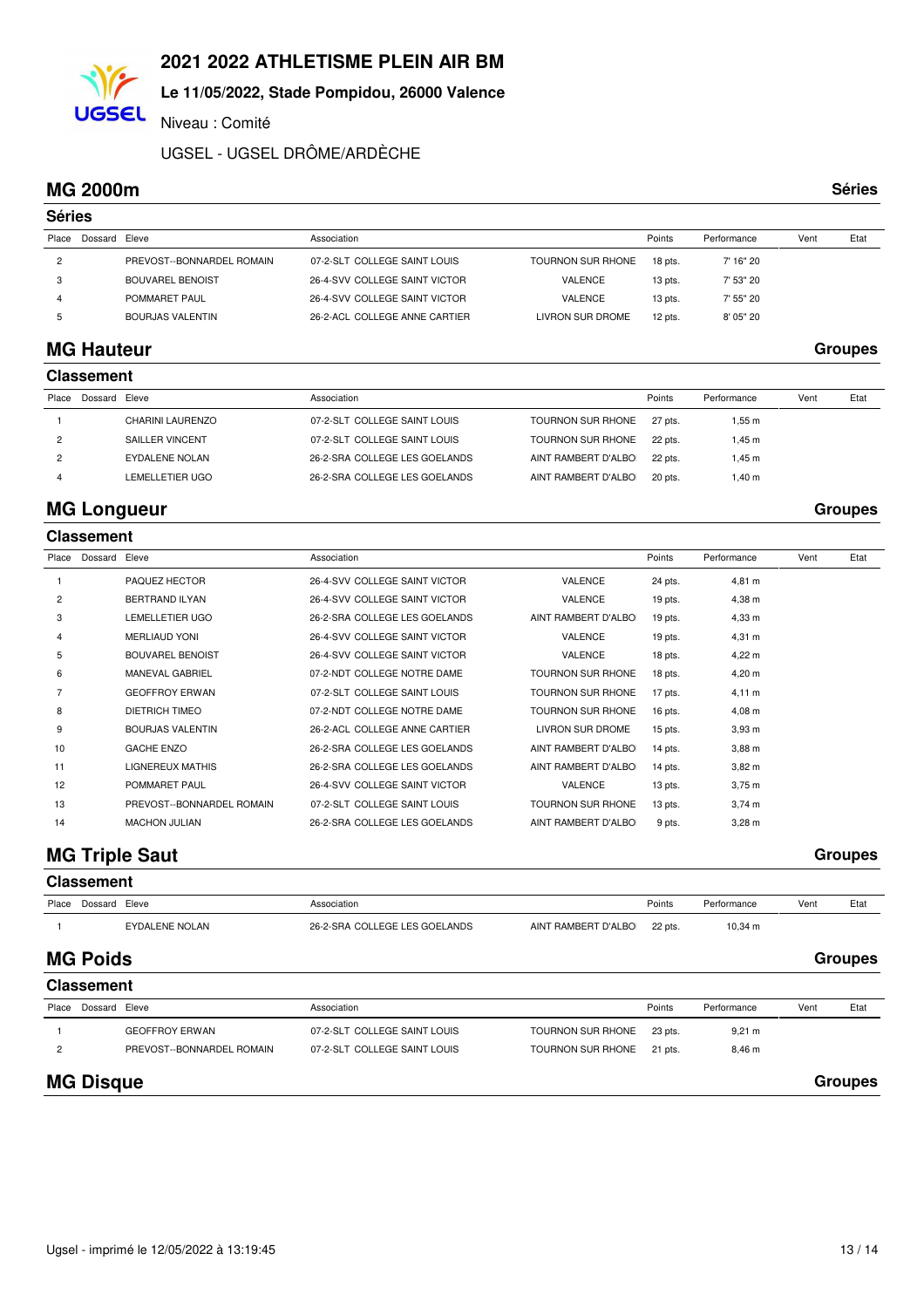## **Le 11/05/2022, Stade Pompidou, 26000 Valence**

Niveau : Comité

UGSEL - UGSEL DRÔME/ARDÈCHE

### **MG 2000m Séries**

**UGSEL** 

|                | <b>Séries</b> |                           |                               |                          |           |             |      |      |  |  |
|----------------|---------------|---------------------------|-------------------------------|--------------------------|-----------|-------------|------|------|--|--|
| Place          | Dossard Eleve |                           | Association                   |                          | Points    | Performance | Vent | Etat |  |  |
| $\overline{c}$ |               | PREVOST--BONNARDEL ROMAIN | 07-2-SLT COLLEGE SAINT LOUIS  | <b>TOURNON SUR RHONE</b> | 18 pts.   | 7' 16" 20   |      |      |  |  |
| 3              |               | <b>BOUVAREL BENOIST</b>   | 26-4-SVV COLLEGE SAINT VICTOR | <b>VALENCE</b>           | $13$ pts. | 7' 53" 20   |      |      |  |  |
| 4              |               | POMMARET PAUL             | 26-4-SVV COLLEGE SAINT VICTOR | <b>VALENCE</b>           | $13$ pts. | 7' 55" 20   |      |      |  |  |
| 5              |               | BOURJAS VALENTIN          | 26-2-ACL COLLEGE ANNE CARTIER | LIVRON SUR DROME         | $12$ pts. | 8' 05" 20   |      |      |  |  |
|                |               |                           |                               |                          |           |             |      |      |  |  |

## **MG Hauteur Groupes**

|       | <b>Classement</b> |                         |                               |                      |         |             |      |      |  |  |
|-------|-------------------|-------------------------|-------------------------------|----------------------|---------|-------------|------|------|--|--|
| Place | Dossard Eleve     |                         | Association                   |                      | Points  | Performance | Vent | Etat |  |  |
|       |                   | <b>CHARINI LAURENZO</b> | 07-2-SLT COLLEGE SAINT LOUIS  | TOURNON SUR RHONE    | 27 pts. | $1.55$ m    |      |      |  |  |
|       |                   | SAILLER VINCENT         | 07-2-SLT COLLEGE SAINT LOUIS  | TOURNON SUR RHONE    | 22 pts. | l.45 m      |      |      |  |  |
|       |                   | EYDALENE NOLAN          | 26-2-SRA COLLEGE LES GOELANDS | AINT RAMBERT D'ALBOI | 22 pts. | $1.45$ m    |      |      |  |  |
|       |                   | LEMELLETIER UGO         | 26-2-SRA COLLEGE LES GOELANDS | AINT RAMBERT D'ALBOI | 20 pts. | l.40 m      |      |      |  |  |

## **MG Longueur Groupes**

|       | <b>Classement</b> |                           |                               |                          |           |                    |      |      |
|-------|-------------------|---------------------------|-------------------------------|--------------------------|-----------|--------------------|------|------|
| Place | Dossard Eleve     |                           | Association                   |                          | Points    | Performance        | Vent | Etat |
|       |                   | PAQUEZ HECTOR             | 26-4-SVV COLLEGE SAINT VICTOR | <b>VALENCE</b>           | 24 pts.   | 4,81 m             |      |      |
| 2     |                   | <b>BERTRAND ILYAN</b>     | 26-4-SVV COLLEGE SAINT VICTOR | VALENCE                  | $19$ pts. | $4,38 \; m$        |      |      |
| 3     |                   | <b>LEMELLETIER UGO</b>    | 26-2-SRA COLLEGE LES GOELANDS | AINT RAMBERT D'ALBO      | $19$ pts. | 4,33 m             |      |      |
| 4     |                   | <b>MERLIAUD YONI</b>      | 26-4-SVV COLLEGE SAINT VICTOR | <b>VALENCE</b>           | 19 pts.   | $4,31 \; m$        |      |      |
| 5     |                   | <b>BOUVAREL BENOIST</b>   | 26-4-SVV COLLEGE SAINT VICTOR | <b>VALENCE</b>           | 18 pts.   | $4,22 \, m$        |      |      |
| 6     |                   | <b>MANEVAL GABRIEL</b>    | 07-2-NDT COLLEGE NOTRE DAME   | <b>TOURNON SUR RHONE</b> | 18 pts.   | $4,20 \; m$        |      |      |
|       |                   | <b>GEOFFROY ERWAN</b>     | 07-2-SLT COLLEGE SAINT LOUIS  | <b>TOURNON SUR RHONE</b> | 17 pts.   | $4,11 \; m$        |      |      |
| 8     |                   | <b>DIETRICH TIMEO</b>     | 07-2-NDT COLLEGE NOTRE DAME   | TOURNON SUR RHONE        | 16 pts.   | $4,08 \; m$        |      |      |
| 9     |                   | <b>BOURJAS VALENTIN</b>   | 26-2-ACL COLLEGE ANNE CARTIER | LIVRON SUR DROME         | $15$ pts. | $3.93 \text{ m}$   |      |      |
| 10    |                   | <b>GACHE ENZO</b>         | 26-2-SRA COLLEGE LES GOELANDS | AINT RAMBERT D'ALBO      | 14 pts.   | $3,88 \; m$        |      |      |
| 11    |                   | LIGNEREUX MATHIS          | 26-2-SRA COLLEGE LES GOELANDS | AINT RAMBERT D'ALBO      | 14 pts.   | $3,82 \; m$        |      |      |
| 12    |                   | POMMARET PAUL             | 26-4-SVV COLLEGE SAINT VICTOR | <b>VALENCE</b>           | $13$ pts. | $3,75 \; m$        |      |      |
| 13    |                   | PREVOST--BONNARDEL ROMAIN | 07-2-SLT COLLEGE SAINT LOUIS  | <b>TOURNON SUR RHONE</b> | $13$ pts. | $3,74 \, m$        |      |      |
| 14    |                   | <b>MACHON JULIAN</b>      | 26-2-SRA COLLEGE LES GOELANDS | AINT RAMBERT D'ALBO      | 9 pts.    | $3,28 \, \text{m}$ |      |      |

## **MG Triple Saut** Groupes

|                | <b>Classement</b> |                           |                               |                          |         |             |      |                |
|----------------|-------------------|---------------------------|-------------------------------|--------------------------|---------|-------------|------|----------------|
| Place          | Dossard Eleve     |                           | Association                   |                          | Points  | Performance | Vent | Etat           |
|                |                   | <b>EYDALENE NOLAN</b>     | 26-2-SRA COLLEGE LES GOELANDS | AINT RAMBERT D'ALBO      | 22 pts. | 10,34 m     |      |                |
|                | <b>MG Poids</b>   |                           |                               |                          |         |             |      | <b>Groupes</b> |
|                | <b>Classement</b> |                           |                               |                          |         |             |      |                |
| Place          | Dossard Eleve     |                           | Association                   |                          | Points  | Performance | Vent | Etat           |
|                |                   | <b>GEOFFROY ERWAN</b>     | 07-2-SLT COLLEGE SAINT LOUIS  | <b>TOURNON SUR RHONE</b> | 23 pts. | $9,21 \; m$ |      |                |
| $\overline{2}$ |                   | PREVOST--BONNARDEL ROMAIN | 07-2-SLT COLLEGE SAINT LOUIS  | <b>TOURNON SUR RHONE</b> | 21 pts. | $8,46 \; m$ |      |                |
|                | <b>MG Disque</b>  |                           |                               |                          |         |             |      | <b>Groupes</b> |